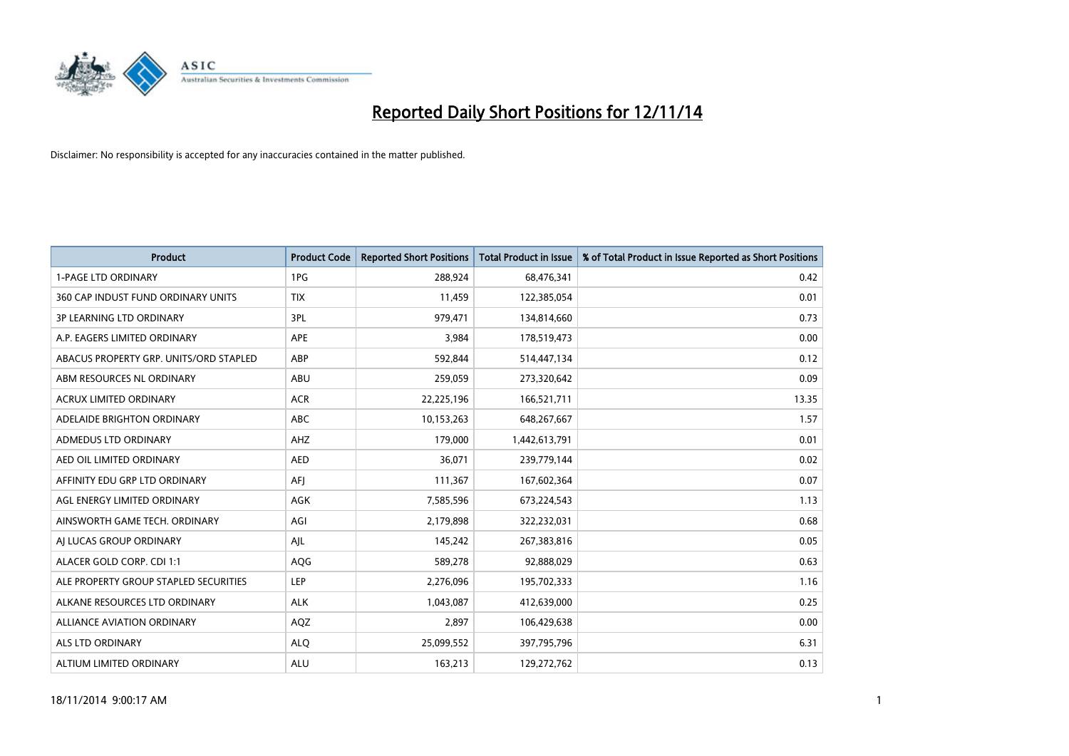

| Product                                | <b>Product Code</b> | <b>Reported Short Positions</b> | <b>Total Product in Issue</b> | % of Total Product in Issue Reported as Short Positions |
|----------------------------------------|---------------------|---------------------------------|-------------------------------|---------------------------------------------------------|
| <b>1-PAGE LTD ORDINARY</b>             | 1PG                 | 288,924                         | 68,476,341                    | 0.42                                                    |
| 360 CAP INDUST FUND ORDINARY UNITS     | <b>TIX</b>          | 11,459                          | 122,385,054                   | 0.01                                                    |
| <b>3P LEARNING LTD ORDINARY</b>        | 3PL                 | 979,471                         | 134,814,660                   | 0.73                                                    |
| A.P. EAGERS LIMITED ORDINARY           | <b>APE</b>          | 3,984                           | 178,519,473                   | 0.00                                                    |
| ABACUS PROPERTY GRP. UNITS/ORD STAPLED | ABP                 | 592,844                         | 514,447,134                   | 0.12                                                    |
| ABM RESOURCES NL ORDINARY              | <b>ABU</b>          | 259,059                         | 273,320,642                   | 0.09                                                    |
| <b>ACRUX LIMITED ORDINARY</b>          | <b>ACR</b>          | 22,225,196                      | 166,521,711                   | 13.35                                                   |
| ADELAIDE BRIGHTON ORDINARY             | <b>ABC</b>          | 10,153,263                      | 648,267,667                   | 1.57                                                    |
| ADMEDUS LTD ORDINARY                   | AHZ                 | 179,000                         | 1,442,613,791                 | 0.01                                                    |
| AED OIL LIMITED ORDINARY               | <b>AED</b>          | 36,071                          | 239,779,144                   | 0.02                                                    |
| AFFINITY EDU GRP LTD ORDINARY          | AFI                 | 111,367                         | 167,602,364                   | 0.07                                                    |
| AGL ENERGY LIMITED ORDINARY            | AGK                 | 7,585,596                       | 673,224,543                   | 1.13                                                    |
| AINSWORTH GAME TECH. ORDINARY          | AGI                 | 2,179,898                       | 322,232,031                   | 0.68                                                    |
| AI LUCAS GROUP ORDINARY                | AJL                 | 145,242                         | 267,383,816                   | 0.05                                                    |
| ALACER GOLD CORP. CDI 1:1              | AQG                 | 589,278                         | 92,888,029                    | 0.63                                                    |
| ALE PROPERTY GROUP STAPLED SECURITIES  | LEP                 | 2,276,096                       | 195,702,333                   | 1.16                                                    |
| ALKANE RESOURCES LTD ORDINARY          | <b>ALK</b>          | 1,043,087                       | 412,639,000                   | 0.25                                                    |
| ALLIANCE AVIATION ORDINARY             | AQZ                 | 2,897                           | 106,429,638                   | 0.00                                                    |
| ALS LTD ORDINARY                       | <b>ALO</b>          | 25,099,552                      | 397,795,796                   | 6.31                                                    |
| ALTIUM LIMITED ORDINARY                | <b>ALU</b>          | 163,213                         | 129,272,762                   | 0.13                                                    |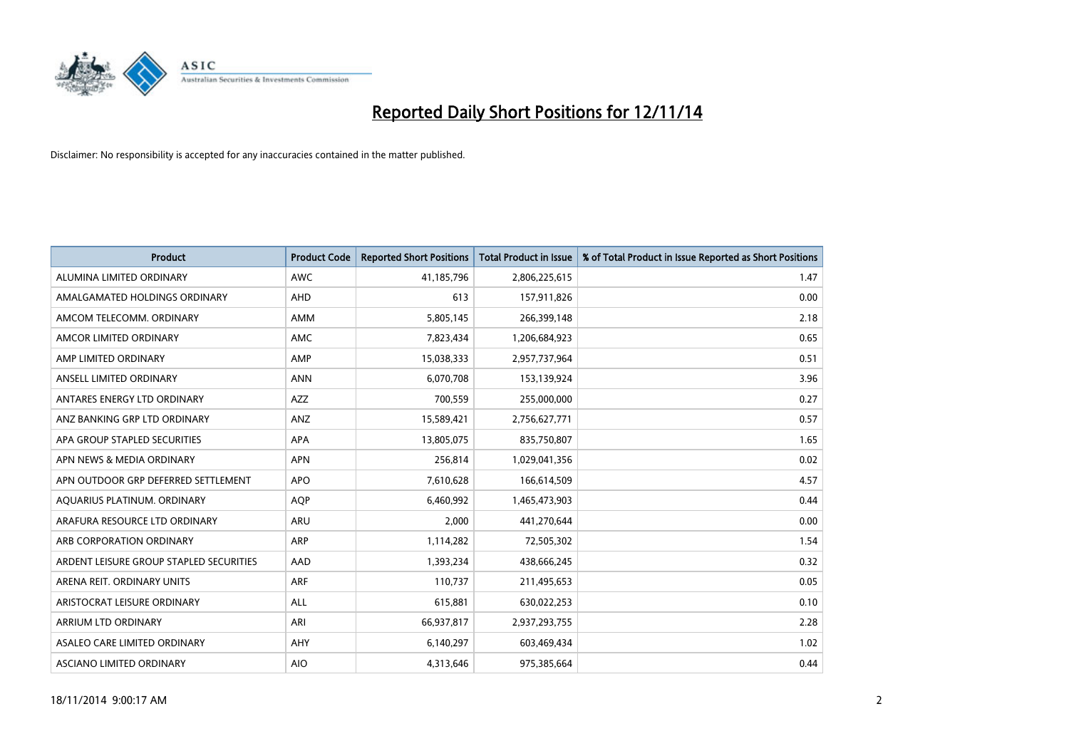

| <b>Product</b>                          | <b>Product Code</b> | <b>Reported Short Positions</b> | <b>Total Product in Issue</b> | % of Total Product in Issue Reported as Short Positions |
|-----------------------------------------|---------------------|---------------------------------|-------------------------------|---------------------------------------------------------|
| ALUMINA LIMITED ORDINARY                | <b>AWC</b>          | 41,185,796                      | 2,806,225,615                 | 1.47                                                    |
| AMALGAMATED HOLDINGS ORDINARY           | AHD                 | 613                             | 157,911,826                   | 0.00                                                    |
| AMCOM TELECOMM, ORDINARY                | AMM                 | 5,805,145                       | 266,399,148                   | 2.18                                                    |
| AMCOR LIMITED ORDINARY                  | <b>AMC</b>          | 7,823,434                       | 1,206,684,923                 | 0.65                                                    |
| AMP LIMITED ORDINARY                    | AMP                 | 15,038,333                      | 2,957,737,964                 | 0.51                                                    |
| ANSELL LIMITED ORDINARY                 | <b>ANN</b>          | 6,070,708                       | 153,139,924                   | 3.96                                                    |
| ANTARES ENERGY LTD ORDINARY             | <b>AZZ</b>          | 700,559                         | 255,000,000                   | 0.27                                                    |
| ANZ BANKING GRP LTD ORDINARY            | ANZ                 | 15,589,421                      | 2,756,627,771                 | 0.57                                                    |
| APA GROUP STAPLED SECURITIES            | APA                 | 13,805,075                      | 835,750,807                   | 1.65                                                    |
| APN NEWS & MEDIA ORDINARY               | <b>APN</b>          | 256,814                         | 1,029,041,356                 | 0.02                                                    |
| APN OUTDOOR GRP DEFERRED SETTLEMENT     | <b>APO</b>          | 7,610,628                       | 166,614,509                   | 4.57                                                    |
| AQUARIUS PLATINUM. ORDINARY             | <b>AQP</b>          | 6,460,992                       | 1,465,473,903                 | 0.44                                                    |
| ARAFURA RESOURCE LTD ORDINARY           | ARU                 | 2,000                           | 441,270,644                   | 0.00                                                    |
| ARB CORPORATION ORDINARY                | ARP                 | 1,114,282                       | 72,505,302                    | 1.54                                                    |
| ARDENT LEISURE GROUP STAPLED SECURITIES | AAD                 | 1,393,234                       | 438,666,245                   | 0.32                                                    |
| ARENA REIT. ORDINARY UNITS              | ARF                 | 110,737                         | 211,495,653                   | 0.05                                                    |
| ARISTOCRAT LEISURE ORDINARY             | ALL                 | 615,881                         | 630,022,253                   | 0.10                                                    |
| ARRIUM LTD ORDINARY                     | <b>ARI</b>          | 66,937,817                      | 2,937,293,755                 | 2.28                                                    |
| ASALEO CARE LIMITED ORDINARY            | AHY                 | 6,140,297                       | 603,469,434                   | 1.02                                                    |
| <b>ASCIANO LIMITED ORDINARY</b>         | <b>AIO</b>          | 4,313,646                       | 975,385,664                   | 0.44                                                    |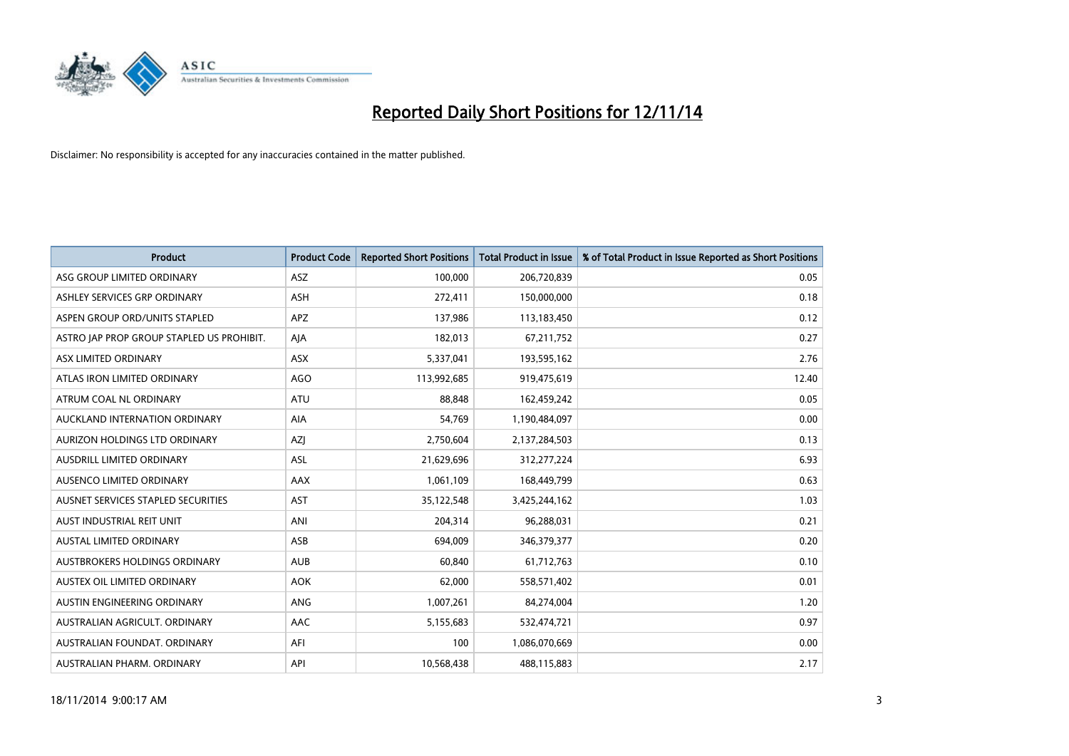

| <b>Product</b>                            | <b>Product Code</b> | <b>Reported Short Positions</b> | <b>Total Product in Issue</b> | % of Total Product in Issue Reported as Short Positions |
|-------------------------------------------|---------------------|---------------------------------|-------------------------------|---------------------------------------------------------|
| ASG GROUP LIMITED ORDINARY                | ASZ                 | 100,000                         | 206,720,839                   | 0.05                                                    |
| ASHLEY SERVICES GRP ORDINARY              | <b>ASH</b>          | 272,411                         | 150,000,000                   | 0.18                                                    |
| ASPEN GROUP ORD/UNITS STAPLED             | APZ                 | 137,986                         | 113,183,450                   | 0.12                                                    |
| ASTRO JAP PROP GROUP STAPLED US PROHIBIT. | AJA                 | 182,013                         | 67,211,752                    | 0.27                                                    |
| ASX LIMITED ORDINARY                      | ASX                 | 5,337,041                       | 193,595,162                   | 2.76                                                    |
| ATLAS IRON LIMITED ORDINARY               | <b>AGO</b>          | 113,992,685                     | 919,475,619                   | 12.40                                                   |
| ATRUM COAL NL ORDINARY                    | <b>ATU</b>          | 88.848                          | 162,459,242                   | 0.05                                                    |
| AUCKLAND INTERNATION ORDINARY             | <b>AIA</b>          | 54,769                          | 1,190,484,097                 | 0.00                                                    |
| AURIZON HOLDINGS LTD ORDINARY             | <b>AZI</b>          | 2,750,604                       | 2,137,284,503                 | 0.13                                                    |
| AUSDRILL LIMITED ORDINARY                 | ASL                 | 21,629,696                      | 312,277,224                   | 6.93                                                    |
| AUSENCO LIMITED ORDINARY                  | AAX                 | 1,061,109                       | 168,449,799                   | 0.63                                                    |
| AUSNET SERVICES STAPLED SECURITIES        | <b>AST</b>          | 35,122,548                      | 3,425,244,162                 | 1.03                                                    |
| AUST INDUSTRIAL REIT UNIT                 | ANI                 | 204,314                         | 96,288,031                    | 0.21                                                    |
| <b>AUSTAL LIMITED ORDINARY</b>            | ASB                 | 694,009                         | 346,379,377                   | 0.20                                                    |
| AUSTBROKERS HOLDINGS ORDINARY             | <b>AUB</b>          | 60,840                          | 61,712,763                    | 0.10                                                    |
| AUSTEX OIL LIMITED ORDINARY               | <b>AOK</b>          | 62,000                          | 558,571,402                   | 0.01                                                    |
| AUSTIN ENGINEERING ORDINARY               | ANG                 | 1,007,261                       | 84,274,004                    | 1.20                                                    |
| AUSTRALIAN AGRICULT, ORDINARY             | AAC                 | 5,155,683                       | 532,474,721                   | 0.97                                                    |
| AUSTRALIAN FOUNDAT, ORDINARY              | AFI                 | 100                             | 1,086,070,669                 | 0.00                                                    |
| AUSTRALIAN PHARM. ORDINARY                | API                 | 10,568,438                      | 488,115,883                   | 2.17                                                    |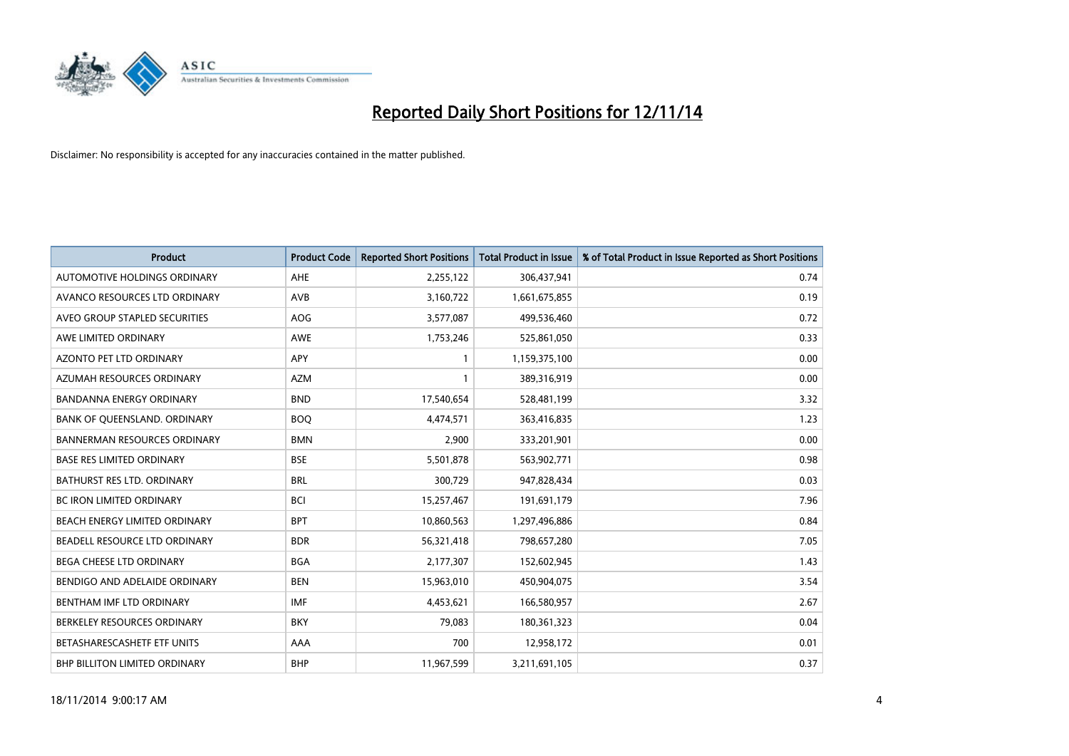

| <b>Product</b>                       | <b>Product Code</b> | <b>Reported Short Positions</b> | <b>Total Product in Issue</b> | % of Total Product in Issue Reported as Short Positions |
|--------------------------------------|---------------------|---------------------------------|-------------------------------|---------------------------------------------------------|
| AUTOMOTIVE HOLDINGS ORDINARY         | AHE                 | 2,255,122                       | 306,437,941                   | 0.74                                                    |
| AVANCO RESOURCES LTD ORDINARY        | AVB                 | 3,160,722                       | 1,661,675,855                 | 0.19                                                    |
| AVEO GROUP STAPLED SECURITIES        | AOG                 | 3,577,087                       | 499,536,460                   | 0.72                                                    |
| AWE LIMITED ORDINARY                 | AWE                 | 1,753,246                       | 525,861,050                   | 0.33                                                    |
| AZONTO PET LTD ORDINARY              | <b>APY</b>          | $\mathbf{1}$                    | 1,159,375,100                 | 0.00                                                    |
| AZUMAH RESOURCES ORDINARY            | <b>AZM</b>          | 1                               | 389,316,919                   | 0.00                                                    |
| <b>BANDANNA ENERGY ORDINARY</b>      | <b>BND</b>          | 17,540,654                      | 528,481,199                   | 3.32                                                    |
| BANK OF QUEENSLAND. ORDINARY         | <b>BOQ</b>          | 4,474,571                       | 363,416,835                   | 1.23                                                    |
| <b>BANNERMAN RESOURCES ORDINARY</b>  | <b>BMN</b>          | 2,900                           | 333,201,901                   | 0.00                                                    |
| <b>BASE RES LIMITED ORDINARY</b>     | <b>BSE</b>          | 5,501,878                       | 563,902,771                   | 0.98                                                    |
| BATHURST RES LTD. ORDINARY           | <b>BRL</b>          | 300,729                         | 947,828,434                   | 0.03                                                    |
| <b>BC IRON LIMITED ORDINARY</b>      | <b>BCI</b>          | 15,257,467                      | 191,691,179                   | 7.96                                                    |
| BEACH ENERGY LIMITED ORDINARY        | <b>BPT</b>          | 10,860,563                      | 1,297,496,886                 | 0.84                                                    |
| BEADELL RESOURCE LTD ORDINARY        | <b>BDR</b>          | 56,321,418                      | 798,657,280                   | 7.05                                                    |
| <b>BEGA CHEESE LTD ORDINARY</b>      | <b>BGA</b>          | 2,177,307                       | 152,602,945                   | 1.43                                                    |
| BENDIGO AND ADELAIDE ORDINARY        | <b>BEN</b>          | 15,963,010                      | 450,904,075                   | 3.54                                                    |
| BENTHAM IMF LTD ORDINARY             | <b>IMF</b>          | 4,453,621                       | 166,580,957                   | 2.67                                                    |
| BERKELEY RESOURCES ORDINARY          | <b>BKY</b>          | 79,083                          | 180,361,323                   | 0.04                                                    |
| BETASHARESCASHETF ETF UNITS          | AAA                 | 700                             | 12,958,172                    | 0.01                                                    |
| <b>BHP BILLITON LIMITED ORDINARY</b> | <b>BHP</b>          | 11,967,599                      | 3,211,691,105                 | 0.37                                                    |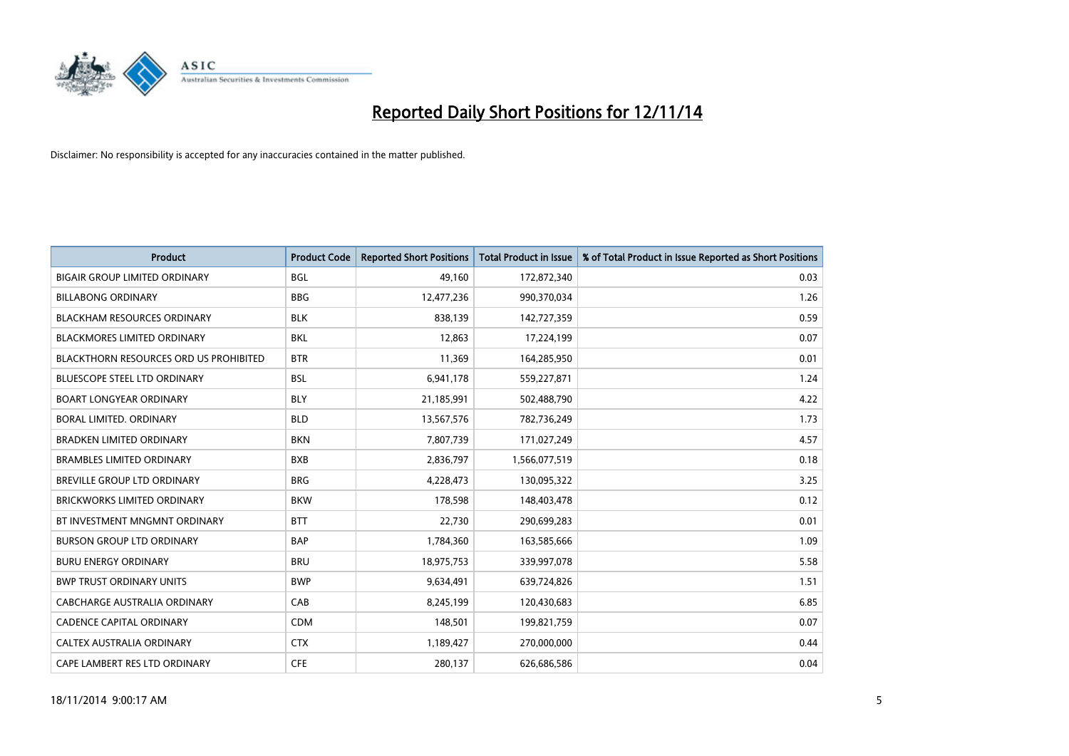

| Product                                | <b>Product Code</b> | <b>Reported Short Positions</b> | <b>Total Product in Issue</b> | % of Total Product in Issue Reported as Short Positions |
|----------------------------------------|---------------------|---------------------------------|-------------------------------|---------------------------------------------------------|
| <b>BIGAIR GROUP LIMITED ORDINARY</b>   | <b>BGL</b>          | 49,160                          | 172,872,340                   | 0.03                                                    |
| <b>BILLABONG ORDINARY</b>              | <b>BBG</b>          | 12,477,236                      | 990,370,034                   | 1.26                                                    |
| <b>BLACKHAM RESOURCES ORDINARY</b>     | <b>BLK</b>          | 838,139                         | 142,727,359                   | 0.59                                                    |
| BLACKMORES LIMITED ORDINARY            | BKL                 | 12,863                          | 17,224,199                    | 0.07                                                    |
| BLACKTHORN RESOURCES ORD US PROHIBITED | <b>BTR</b>          | 11,369                          | 164,285,950                   | 0.01                                                    |
| <b>BLUESCOPE STEEL LTD ORDINARY</b>    | <b>BSL</b>          | 6,941,178                       | 559,227,871                   | 1.24                                                    |
| <b>BOART LONGYEAR ORDINARY</b>         | <b>BLY</b>          | 21,185,991                      | 502,488,790                   | 4.22                                                    |
| <b>BORAL LIMITED, ORDINARY</b>         | <b>BLD</b>          | 13,567,576                      | 782,736,249                   | 1.73                                                    |
| <b>BRADKEN LIMITED ORDINARY</b>        | <b>BKN</b>          | 7,807,739                       | 171,027,249                   | 4.57                                                    |
| <b>BRAMBLES LIMITED ORDINARY</b>       | <b>BXB</b>          | 2,836,797                       | 1,566,077,519                 | 0.18                                                    |
| <b>BREVILLE GROUP LTD ORDINARY</b>     | <b>BRG</b>          | 4,228,473                       | 130,095,322                   | 3.25                                                    |
| <b>BRICKWORKS LIMITED ORDINARY</b>     | <b>BKW</b>          | 178,598                         | 148,403,478                   | 0.12                                                    |
| BT INVESTMENT MNGMNT ORDINARY          | <b>BTT</b>          | 22,730                          | 290,699,283                   | 0.01                                                    |
| <b>BURSON GROUP LTD ORDINARY</b>       | <b>BAP</b>          | 1,784,360                       | 163,585,666                   | 1.09                                                    |
| <b>BURU ENERGY ORDINARY</b>            | <b>BRU</b>          | 18,975,753                      | 339,997,078                   | 5.58                                                    |
| <b>BWP TRUST ORDINARY UNITS</b>        | <b>BWP</b>          | 9,634,491                       | 639,724,826                   | 1.51                                                    |
| CABCHARGE AUSTRALIA ORDINARY           | CAB                 | 8,245,199                       | 120,430,683                   | 6.85                                                    |
| <b>CADENCE CAPITAL ORDINARY</b>        | <b>CDM</b>          | 148,501                         | 199,821,759                   | 0.07                                                    |
| CALTEX AUSTRALIA ORDINARY              | <b>CTX</b>          | 1,189,427                       | 270,000,000                   | 0.44                                                    |
| CAPE LAMBERT RES LTD ORDINARY          | <b>CFE</b>          | 280,137                         | 626,686,586                   | 0.04                                                    |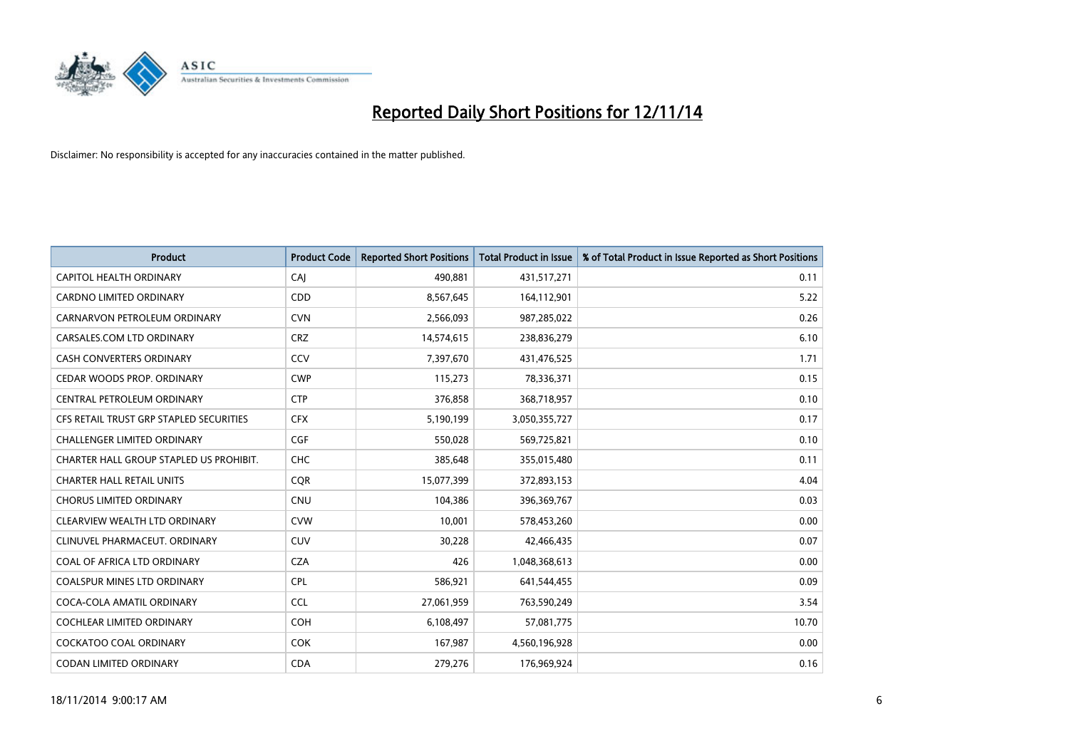

| <b>Product</b>                          | <b>Product Code</b> | <b>Reported Short Positions</b> | <b>Total Product in Issue</b> | % of Total Product in Issue Reported as Short Positions |
|-----------------------------------------|---------------------|---------------------------------|-------------------------------|---------------------------------------------------------|
| <b>CAPITOL HEALTH ORDINARY</b>          | CAJ                 | 490,881                         | 431,517,271                   | 0.11                                                    |
| CARDNO LIMITED ORDINARY                 | CDD                 | 8,567,645                       | 164,112,901                   | 5.22                                                    |
| CARNARVON PETROLEUM ORDINARY            | <b>CVN</b>          | 2,566,093                       | 987,285,022                   | 0.26                                                    |
| CARSALES.COM LTD ORDINARY               | <b>CRZ</b>          | 14,574,615                      | 238,836,279                   | 6.10                                                    |
| <b>CASH CONVERTERS ORDINARY</b>         | CCV                 | 7,397,670                       | 431,476,525                   | 1.71                                                    |
| CEDAR WOODS PROP. ORDINARY              | <b>CWP</b>          | 115,273                         | 78,336,371                    | 0.15                                                    |
| CENTRAL PETROLEUM ORDINARY              | <b>CTP</b>          | 376,858                         | 368,718,957                   | 0.10                                                    |
| CFS RETAIL TRUST GRP STAPLED SECURITIES | <b>CFX</b>          | 5,190,199                       | 3,050,355,727                 | 0.17                                                    |
| <b>CHALLENGER LIMITED ORDINARY</b>      | <b>CGF</b>          | 550,028                         | 569,725,821                   | 0.10                                                    |
| CHARTER HALL GROUP STAPLED US PROHIBIT. | <b>CHC</b>          | 385,648                         | 355,015,480                   | 0.11                                                    |
| <b>CHARTER HALL RETAIL UNITS</b>        | <b>CQR</b>          | 15,077,399                      | 372,893,153                   | 4.04                                                    |
| <b>CHORUS LIMITED ORDINARY</b>          | <b>CNU</b>          | 104,386                         | 396,369,767                   | 0.03                                                    |
| CLEARVIEW WEALTH LTD ORDINARY           | <b>CVW</b>          | 10,001                          | 578,453,260                   | 0.00                                                    |
| CLINUVEL PHARMACEUT, ORDINARY           | <b>CUV</b>          | 30,228                          | 42,466,435                    | 0.07                                                    |
| COAL OF AFRICA LTD ORDINARY             | <b>CZA</b>          | 426                             | 1,048,368,613                 | 0.00                                                    |
| COALSPUR MINES LTD ORDINARY             | <b>CPL</b>          | 586,921                         | 641,544,455                   | 0.09                                                    |
| COCA-COLA AMATIL ORDINARY               | <b>CCL</b>          | 27,061,959                      | 763,590,249                   | 3.54                                                    |
| COCHLEAR LIMITED ORDINARY               | <b>COH</b>          | 6,108,497                       | 57,081,775                    | 10.70                                                   |
| <b>COCKATOO COAL ORDINARY</b>           | <b>COK</b>          | 167,987                         | 4,560,196,928                 | 0.00                                                    |
| <b>CODAN LIMITED ORDINARY</b>           | <b>CDA</b>          | 279,276                         | 176,969,924                   | 0.16                                                    |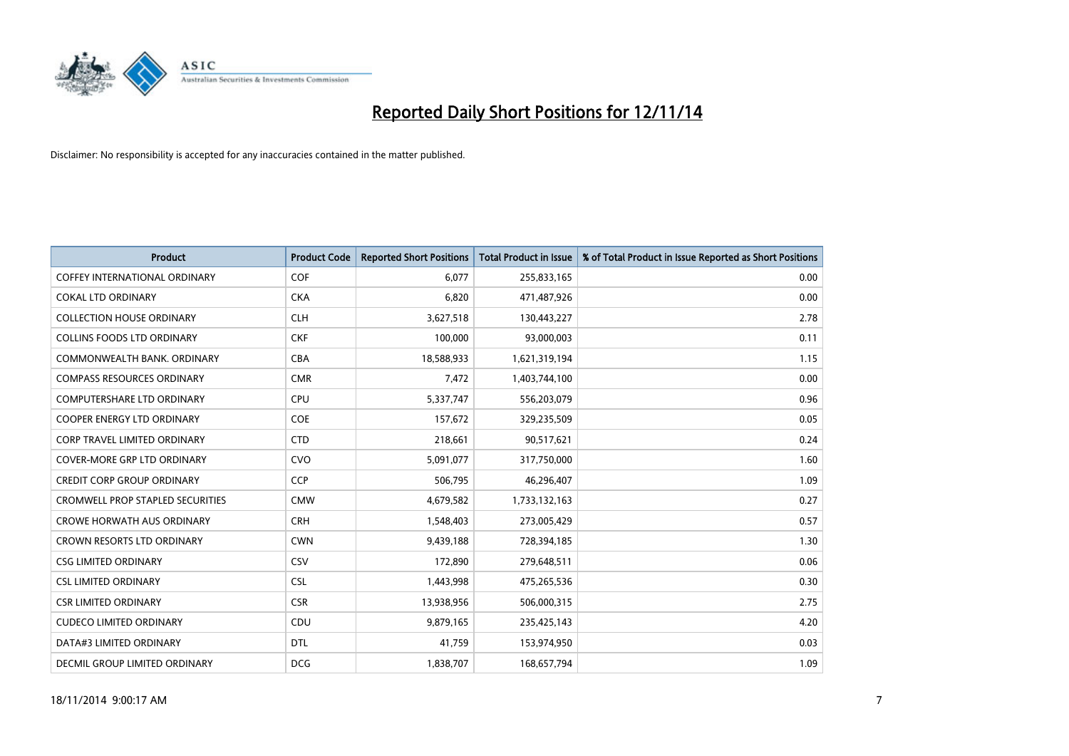

| Product                                 | <b>Product Code</b> | <b>Reported Short Positions</b> | <b>Total Product in Issue</b> | % of Total Product in Issue Reported as Short Positions |
|-----------------------------------------|---------------------|---------------------------------|-------------------------------|---------------------------------------------------------|
| <b>COFFEY INTERNATIONAL ORDINARY</b>    | COF                 | 6,077                           | 255,833,165                   | 0.00                                                    |
| <b>COKAL LTD ORDINARY</b>               | <b>CKA</b>          | 6,820                           | 471,487,926                   | 0.00                                                    |
| <b>COLLECTION HOUSE ORDINARY</b>        | <b>CLH</b>          | 3,627,518                       | 130,443,227                   | 2.78                                                    |
| <b>COLLINS FOODS LTD ORDINARY</b>       | <b>CKF</b>          | 100,000                         | 93,000,003                    | 0.11                                                    |
| COMMONWEALTH BANK, ORDINARY             | <b>CBA</b>          | 18,588,933                      | 1,621,319,194                 | 1.15                                                    |
| <b>COMPASS RESOURCES ORDINARY</b>       | <b>CMR</b>          | 7,472                           | 1,403,744,100                 | 0.00                                                    |
| <b>COMPUTERSHARE LTD ORDINARY</b>       | <b>CPU</b>          | 5,337,747                       | 556,203,079                   | 0.96                                                    |
| <b>COOPER ENERGY LTD ORDINARY</b>       | <b>COE</b>          | 157,672                         | 329,235,509                   | 0.05                                                    |
| <b>CORP TRAVEL LIMITED ORDINARY</b>     | <b>CTD</b>          | 218,661                         | 90,517,621                    | 0.24                                                    |
| <b>COVER-MORE GRP LTD ORDINARY</b>      | <b>CVO</b>          | 5,091,077                       | 317,750,000                   | 1.60                                                    |
| <b>CREDIT CORP GROUP ORDINARY</b>       | <b>CCP</b>          | 506,795                         | 46,296,407                    | 1.09                                                    |
| <b>CROMWELL PROP STAPLED SECURITIES</b> | <b>CMW</b>          | 4,679,582                       | 1,733,132,163                 | 0.27                                                    |
| <b>CROWE HORWATH AUS ORDINARY</b>       | <b>CRH</b>          | 1,548,403                       | 273,005,429                   | 0.57                                                    |
| <b>CROWN RESORTS LTD ORDINARY</b>       | <b>CWN</b>          | 9,439,188                       | 728,394,185                   | 1.30                                                    |
| <b>CSG LIMITED ORDINARY</b>             | CSV                 | 172,890                         | 279,648,511                   | 0.06                                                    |
| <b>CSL LIMITED ORDINARY</b>             | <b>CSL</b>          | 1,443,998                       | 475,265,536                   | 0.30                                                    |
| <b>CSR LIMITED ORDINARY</b>             | <b>CSR</b>          | 13,938,956                      | 506,000,315                   | 2.75                                                    |
| <b>CUDECO LIMITED ORDINARY</b>          | <b>CDU</b>          | 9,879,165                       | 235,425,143                   | 4.20                                                    |
| DATA#3 LIMITED ORDINARY                 | <b>DTL</b>          | 41,759                          | 153,974,950                   | 0.03                                                    |
| DECMIL GROUP LIMITED ORDINARY           | <b>DCG</b>          | 1,838,707                       | 168,657,794                   | 1.09                                                    |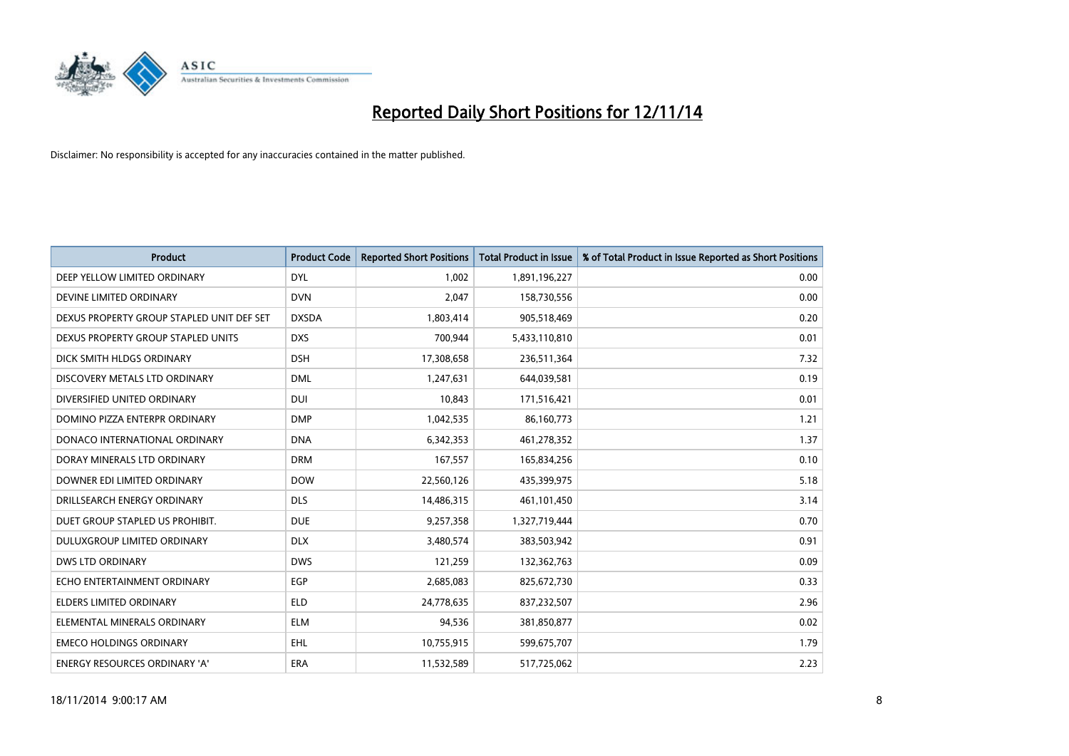

| <b>Product</b>                            | <b>Product Code</b> | <b>Reported Short Positions</b> | <b>Total Product in Issue</b> | % of Total Product in Issue Reported as Short Positions |
|-------------------------------------------|---------------------|---------------------------------|-------------------------------|---------------------------------------------------------|
| DEEP YELLOW LIMITED ORDINARY              | <b>DYL</b>          | 1,002                           | 1,891,196,227                 | 0.00                                                    |
| DEVINE LIMITED ORDINARY                   | <b>DVN</b>          | 2,047                           | 158,730,556                   | 0.00                                                    |
| DEXUS PROPERTY GROUP STAPLED UNIT DEF SET | <b>DXSDA</b>        | 1,803,414                       | 905,518,469                   | 0.20                                                    |
| DEXUS PROPERTY GROUP STAPLED UNITS        | <b>DXS</b>          | 700,944                         | 5,433,110,810                 | 0.01                                                    |
| DICK SMITH HLDGS ORDINARY                 | <b>DSH</b>          | 17,308,658                      | 236,511,364                   | 7.32                                                    |
| DISCOVERY METALS LTD ORDINARY             | <b>DML</b>          | 1,247,631                       | 644,039,581                   | 0.19                                                    |
| DIVERSIFIED UNITED ORDINARY               | <b>DUI</b>          | 10.843                          | 171,516,421                   | 0.01                                                    |
| DOMINO PIZZA ENTERPR ORDINARY             | <b>DMP</b>          | 1,042,535                       | 86,160,773                    | 1.21                                                    |
| DONACO INTERNATIONAL ORDINARY             | <b>DNA</b>          | 6,342,353                       | 461,278,352                   | 1.37                                                    |
| DORAY MINERALS LTD ORDINARY               | <b>DRM</b>          | 167,557                         | 165,834,256                   | 0.10                                                    |
| DOWNER EDI LIMITED ORDINARY               | <b>DOW</b>          | 22,560,126                      | 435,399,975                   | 5.18                                                    |
| DRILLSEARCH ENERGY ORDINARY               | <b>DLS</b>          | 14,486,315                      | 461,101,450                   | 3.14                                                    |
| DUET GROUP STAPLED US PROHIBIT.           | <b>DUE</b>          | 9,257,358                       | 1,327,719,444                 | 0.70                                                    |
| DULUXGROUP LIMITED ORDINARY               | <b>DLX</b>          | 3,480,574                       | 383,503,942                   | 0.91                                                    |
| <b>DWS LTD ORDINARY</b>                   | <b>DWS</b>          | 121,259                         | 132,362,763                   | 0.09                                                    |
| ECHO ENTERTAINMENT ORDINARY               | EGP                 | 2,685,083                       | 825,672,730                   | 0.33                                                    |
| <b>ELDERS LIMITED ORDINARY</b>            | <b>ELD</b>          | 24,778,635                      | 837,232,507                   | 2.96                                                    |
| ELEMENTAL MINERALS ORDINARY               | <b>ELM</b>          | 94,536                          | 381,850,877                   | 0.02                                                    |
| <b>EMECO HOLDINGS ORDINARY</b>            | <b>EHL</b>          | 10,755,915                      | 599,675,707                   | 1.79                                                    |
| <b>ENERGY RESOURCES ORDINARY 'A'</b>      | <b>ERA</b>          | 11,532,589                      | 517,725,062                   | 2.23                                                    |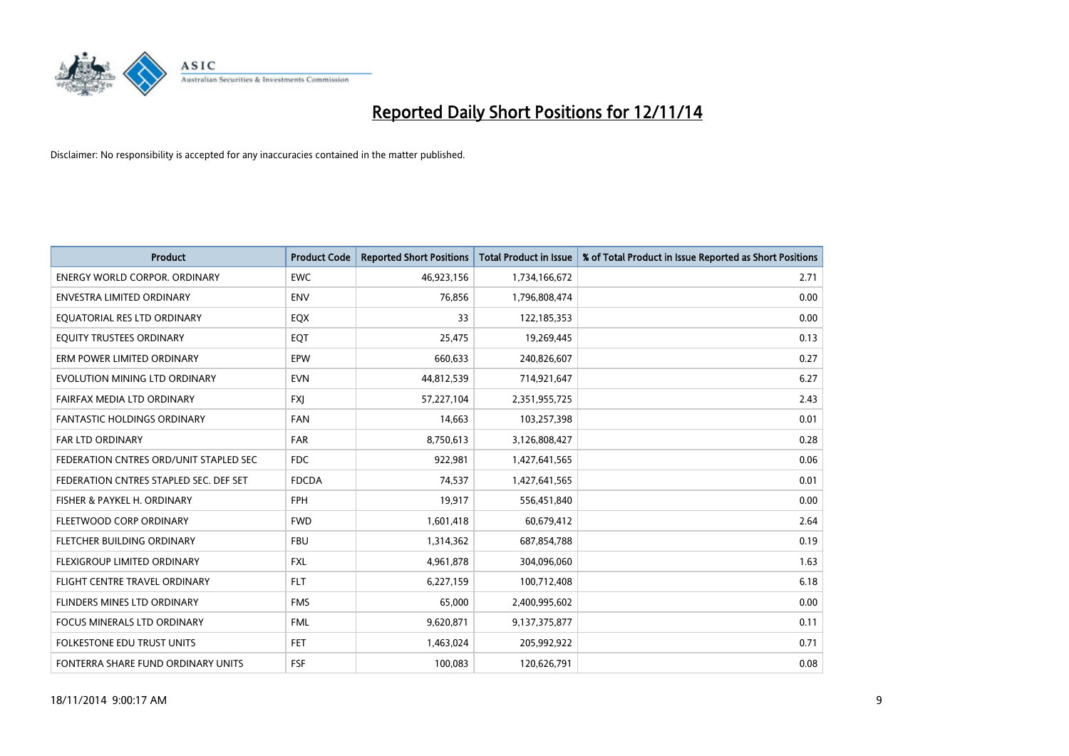

| <b>Product</b>                         | <b>Product Code</b> | <b>Reported Short Positions</b> | <b>Total Product in Issue</b> | % of Total Product in Issue Reported as Short Positions |
|----------------------------------------|---------------------|---------------------------------|-------------------------------|---------------------------------------------------------|
| <b>ENERGY WORLD CORPOR, ORDINARY</b>   | <b>EWC</b>          | 46,923,156                      | 1,734,166,672                 | 2.71                                                    |
| ENVESTRA LIMITED ORDINARY              | <b>ENV</b>          | 76,856                          | 1,796,808,474                 | 0.00                                                    |
| EQUATORIAL RES LTD ORDINARY            | EQX                 | 33                              | 122,185,353                   | 0.00                                                    |
| EQUITY TRUSTEES ORDINARY               | EQT                 | 25,475                          | 19,269,445                    | 0.13                                                    |
| ERM POWER LIMITED ORDINARY             | EPW                 | 660,633                         | 240,826,607                   | 0.27                                                    |
| EVOLUTION MINING LTD ORDINARY          | <b>EVN</b>          | 44,812,539                      | 714,921,647                   | 6.27                                                    |
| FAIRFAX MEDIA LTD ORDINARY             | <b>FXJ</b>          | 57,227,104                      | 2,351,955,725                 | 2.43                                                    |
| <b>FANTASTIC HOLDINGS ORDINARY</b>     | <b>FAN</b>          | 14,663                          | 103,257,398                   | 0.01                                                    |
| <b>FAR LTD ORDINARY</b>                | <b>FAR</b>          | 8,750,613                       | 3,126,808,427                 | 0.28                                                    |
| FEDERATION CNTRES ORD/UNIT STAPLED SEC | <b>FDC</b>          | 922,981                         | 1,427,641,565                 | 0.06                                                    |
| FEDERATION CNTRES STAPLED SEC. DEF SET | <b>FDCDA</b>        | 74,537                          | 1,427,641,565                 | 0.01                                                    |
| FISHER & PAYKEL H. ORDINARY            | <b>FPH</b>          | 19,917                          | 556,451,840                   | 0.00                                                    |
| FLEETWOOD CORP ORDINARY                | <b>FWD</b>          | 1,601,418                       | 60,679,412                    | 2.64                                                    |
| FLETCHER BUILDING ORDINARY             | <b>FBU</b>          | 1,314,362                       | 687,854,788                   | 0.19                                                    |
| FLEXIGROUP LIMITED ORDINARY            | <b>FXL</b>          | 4,961,878                       | 304,096,060                   | 1.63                                                    |
| FLIGHT CENTRE TRAVEL ORDINARY          | <b>FLT</b>          | 6,227,159                       | 100,712,408                   | 6.18                                                    |
| FLINDERS MINES LTD ORDINARY            | <b>FMS</b>          | 65,000                          | 2,400,995,602                 | 0.00                                                    |
| <b>FOCUS MINERALS LTD ORDINARY</b>     | <b>FML</b>          | 9,620,871                       | 9,137,375,877                 | 0.11                                                    |
| <b>FOLKESTONE EDU TRUST UNITS</b>      | <b>FET</b>          | 1,463,024                       | 205,992,922                   | 0.71                                                    |
| FONTERRA SHARE FUND ORDINARY UNITS     | <b>FSF</b>          | 100,083                         | 120,626,791                   | 0.08                                                    |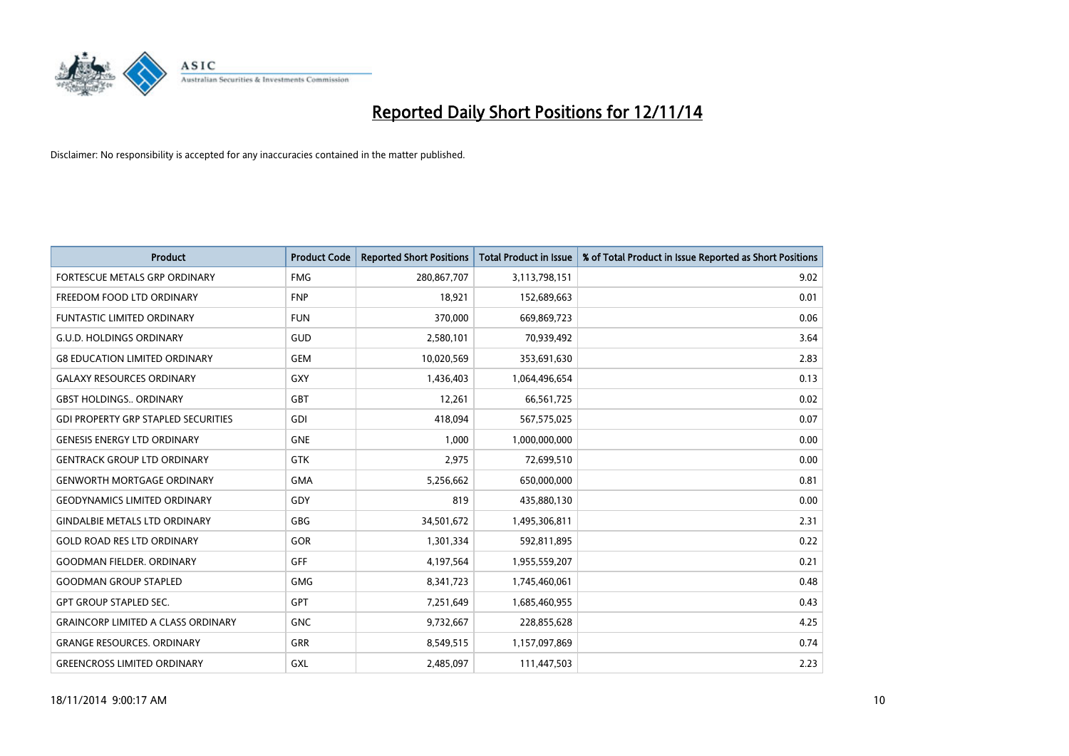

| <b>Product</b>                             | <b>Product Code</b> | <b>Reported Short Positions</b> | <b>Total Product in Issue</b> | % of Total Product in Issue Reported as Short Positions |
|--------------------------------------------|---------------------|---------------------------------|-------------------------------|---------------------------------------------------------|
| FORTESCUE METALS GRP ORDINARY              | <b>FMG</b>          | 280,867,707                     | 3,113,798,151                 | 9.02                                                    |
| FREEDOM FOOD LTD ORDINARY                  | <b>FNP</b>          | 18,921                          | 152,689,663                   | 0.01                                                    |
| <b>FUNTASTIC LIMITED ORDINARY</b>          | <b>FUN</b>          | 370,000                         | 669,869,723                   | 0.06                                                    |
| <b>G.U.D. HOLDINGS ORDINARY</b>            | GUD                 | 2,580,101                       | 70,939,492                    | 3.64                                                    |
| <b>G8 EDUCATION LIMITED ORDINARY</b>       | <b>GEM</b>          | 10,020,569                      | 353,691,630                   | 2.83                                                    |
| <b>GALAXY RESOURCES ORDINARY</b>           | GXY                 | 1,436,403                       | 1,064,496,654                 | 0.13                                                    |
| <b>GBST HOLDINGS., ORDINARY</b>            | <b>GBT</b>          | 12,261                          | 66,561,725                    | 0.02                                                    |
| <b>GDI PROPERTY GRP STAPLED SECURITIES</b> | <b>GDI</b>          | 418,094                         | 567,575,025                   | 0.07                                                    |
| <b>GENESIS ENERGY LTD ORDINARY</b>         | <b>GNE</b>          | 1,000                           | 1,000,000,000                 | 0.00                                                    |
| <b>GENTRACK GROUP LTD ORDINARY</b>         | <b>GTK</b>          | 2,975                           | 72,699,510                    | 0.00                                                    |
| <b>GENWORTH MORTGAGE ORDINARY</b>          | <b>GMA</b>          | 5,256,662                       | 650,000,000                   | 0.81                                                    |
| <b>GEODYNAMICS LIMITED ORDINARY</b>        | <b>GDY</b>          | 819                             | 435,880,130                   | 0.00                                                    |
| <b>GINDALBIE METALS LTD ORDINARY</b>       | <b>GBG</b>          | 34,501,672                      | 1,495,306,811                 | 2.31                                                    |
| <b>GOLD ROAD RES LTD ORDINARY</b>          | GOR                 | 1,301,334                       | 592,811,895                   | 0.22                                                    |
| <b>GOODMAN FIELDER, ORDINARY</b>           | <b>GFF</b>          | 4,197,564                       | 1,955,559,207                 | 0.21                                                    |
| <b>GOODMAN GROUP STAPLED</b>               | <b>GMG</b>          | 8,341,723                       | 1,745,460,061                 | 0.48                                                    |
| <b>GPT GROUP STAPLED SEC.</b>              | GPT                 | 7,251,649                       | 1,685,460,955                 | 0.43                                                    |
| <b>GRAINCORP LIMITED A CLASS ORDINARY</b>  | <b>GNC</b>          | 9,732,667                       | 228,855,628                   | 4.25                                                    |
| <b>GRANGE RESOURCES, ORDINARY</b>          | <b>GRR</b>          | 8,549,515                       | 1,157,097,869                 | 0.74                                                    |
| <b>GREENCROSS LIMITED ORDINARY</b>         | GXL                 | 2,485,097                       | 111,447,503                   | 2.23                                                    |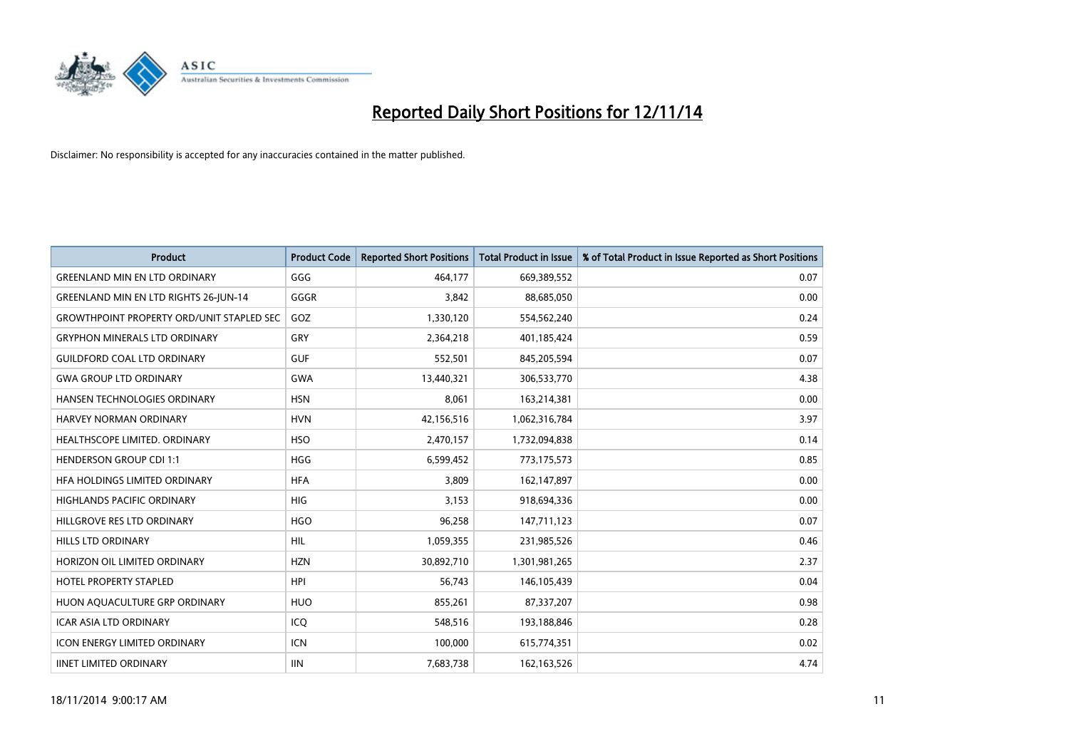

| <b>Product</b>                                   | <b>Product Code</b> | <b>Reported Short Positions</b> | <b>Total Product in Issue</b> | % of Total Product in Issue Reported as Short Positions |
|--------------------------------------------------|---------------------|---------------------------------|-------------------------------|---------------------------------------------------------|
| <b>GREENLAND MIN EN LTD ORDINARY</b>             | GGG                 | 464,177                         | 669,389,552                   | 0.07                                                    |
| <b>GREENLAND MIN EN LTD RIGHTS 26-JUN-14</b>     | GGGR                | 3,842                           | 88,685,050                    | 0.00                                                    |
| <b>GROWTHPOINT PROPERTY ORD/UNIT STAPLED SEC</b> | GOZ                 | 1,330,120                       | 554,562,240                   | 0.24                                                    |
| <b>GRYPHON MINERALS LTD ORDINARY</b>             | GRY                 | 2,364,218                       | 401,185,424                   | 0.59                                                    |
| <b>GUILDFORD COAL LTD ORDINARY</b>               | <b>GUF</b>          | 552,501                         | 845,205,594                   | 0.07                                                    |
| <b>GWA GROUP LTD ORDINARY</b>                    | <b>GWA</b>          | 13,440,321                      | 306,533,770                   | 4.38                                                    |
| HANSEN TECHNOLOGIES ORDINARY                     | <b>HSN</b>          | 8,061                           | 163,214,381                   | 0.00                                                    |
| HARVEY NORMAN ORDINARY                           | <b>HVN</b>          | 42,156,516                      | 1,062,316,784                 | 3.97                                                    |
| HEALTHSCOPE LIMITED. ORDINARY                    | <b>HSO</b>          | 2,470,157                       | 1,732,094,838                 | 0.14                                                    |
| <b>HENDERSON GROUP CDI 1:1</b>                   | <b>HGG</b>          | 6,599,452                       | 773,175,573                   | 0.85                                                    |
| HEA HOLDINGS LIMITED ORDINARY                    | <b>HFA</b>          | 3,809                           | 162,147,897                   | 0.00                                                    |
| HIGHLANDS PACIFIC ORDINARY                       | <b>HIG</b>          | 3,153                           | 918,694,336                   | 0.00                                                    |
| HILLGROVE RES LTD ORDINARY                       | <b>HGO</b>          | 96,258                          | 147,711,123                   | 0.07                                                    |
| <b>HILLS LTD ORDINARY</b>                        | <b>HIL</b>          | 1,059,355                       | 231,985,526                   | 0.46                                                    |
| HORIZON OIL LIMITED ORDINARY                     | <b>HZN</b>          | 30,892,710                      | 1,301,981,265                 | 2.37                                                    |
| HOTEL PROPERTY STAPLED                           | <b>HPI</b>          | 56,743                          | 146,105,439                   | 0.04                                                    |
| HUON AQUACULTURE GRP ORDINARY                    | <b>HUO</b>          | 855,261                         | 87,337,207                    | 0.98                                                    |
| <b>ICAR ASIA LTD ORDINARY</b>                    | ICQ                 | 548,516                         | 193,188,846                   | 0.28                                                    |
| <b>ICON ENERGY LIMITED ORDINARY</b>              | <b>ICN</b>          | 100,000                         | 615,774,351                   | 0.02                                                    |
| <b>IINET LIMITED ORDINARY</b>                    | <b>IIN</b>          | 7,683,738                       | 162,163,526                   | 4.74                                                    |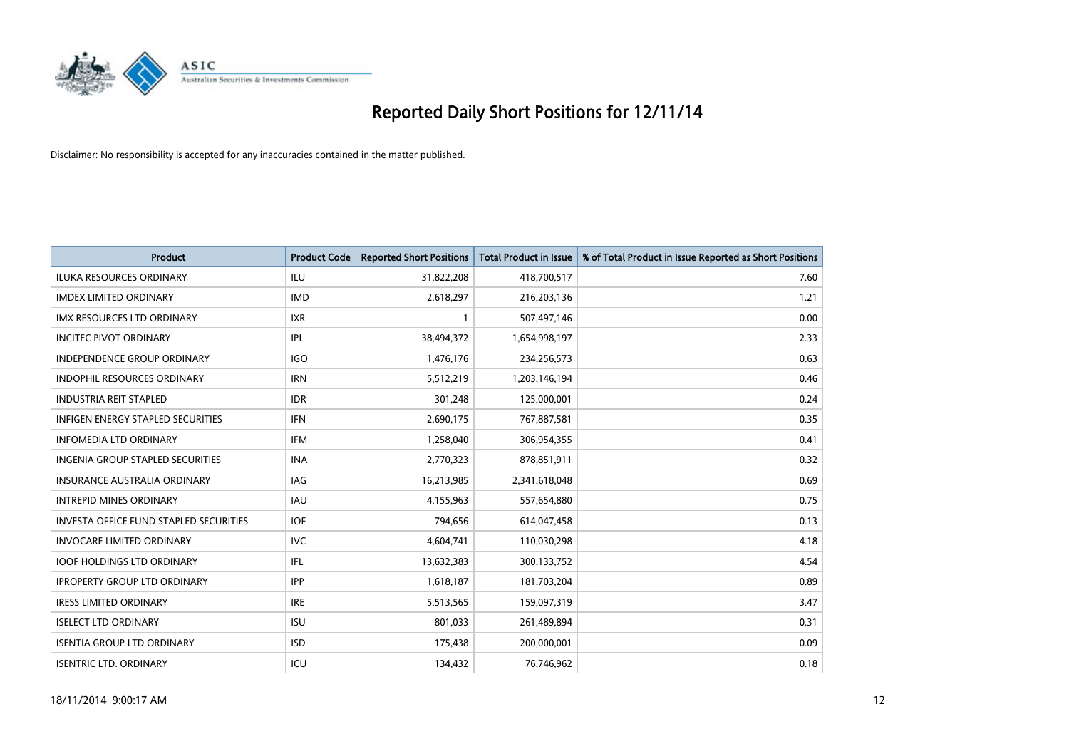

| <b>Product</b>                           | <b>Product Code</b> | <b>Reported Short Positions</b> | <b>Total Product in Issue</b> | % of Total Product in Issue Reported as Short Positions |
|------------------------------------------|---------------------|---------------------------------|-------------------------------|---------------------------------------------------------|
| <b>ILUKA RESOURCES ORDINARY</b>          | <b>ILU</b>          | 31,822,208                      | 418,700,517                   | 7.60                                                    |
| <b>IMDEX LIMITED ORDINARY</b>            | <b>IMD</b>          | 2,618,297                       | 216,203,136                   | 1.21                                                    |
| IMX RESOURCES LTD ORDINARY               | <b>IXR</b>          | $\mathbf{1}$                    | 507,497,146                   | 0.00                                                    |
| <b>INCITEC PIVOT ORDINARY</b>            | IPL                 | 38,494,372                      | 1,654,998,197                 | 2.33                                                    |
| <b>INDEPENDENCE GROUP ORDINARY</b>       | <b>IGO</b>          | 1,476,176                       | 234,256,573                   | 0.63                                                    |
| <b>INDOPHIL RESOURCES ORDINARY</b>       | <b>IRN</b>          | 5,512,219                       | 1,203,146,194                 | 0.46                                                    |
| <b>INDUSTRIA REIT STAPLED</b>            | <b>IDR</b>          | 301,248                         | 125,000,001                   | 0.24                                                    |
| <b>INFIGEN ENERGY STAPLED SECURITIES</b> | <b>IFN</b>          | 2,690,175                       | 767,887,581                   | 0.35                                                    |
| <b>INFOMEDIA LTD ORDINARY</b>            | <b>IFM</b>          | 1,258,040                       | 306,954,355                   | 0.41                                                    |
| INGENIA GROUP STAPLED SECURITIES         | <b>INA</b>          | 2,770,323                       | 878,851,911                   | 0.32                                                    |
| <b>INSURANCE AUSTRALIA ORDINARY</b>      | IAG                 | 16,213,985                      | 2,341,618,048                 | 0.69                                                    |
| <b>INTREPID MINES ORDINARY</b>           | IAU                 | 4,155,963                       | 557,654,880                   | 0.75                                                    |
| INVESTA OFFICE FUND STAPLED SECURITIES   | <b>IOF</b>          | 794,656                         | 614,047,458                   | 0.13                                                    |
| <b>INVOCARE LIMITED ORDINARY</b>         | <b>IVC</b>          | 4,604,741                       | 110,030,298                   | 4.18                                                    |
| <b>IOOF HOLDINGS LTD ORDINARY</b>        | IFL                 | 13,632,383                      | 300,133,752                   | 4.54                                                    |
| <b>IPROPERTY GROUP LTD ORDINARY</b>      | <b>IPP</b>          | 1,618,187                       | 181,703,204                   | 0.89                                                    |
| <b>IRESS LIMITED ORDINARY</b>            | <b>IRE</b>          | 5,513,565                       | 159,097,319                   | 3.47                                                    |
| <b>ISELECT LTD ORDINARY</b>              | <b>ISU</b>          | 801,033                         | 261,489,894                   | 0.31                                                    |
| <b>ISENTIA GROUP LTD ORDINARY</b>        | <b>ISD</b>          | 175,438                         | 200,000,001                   | 0.09                                                    |
| <b>ISENTRIC LTD. ORDINARY</b>            | ICU                 | 134,432                         | 76,746,962                    | 0.18                                                    |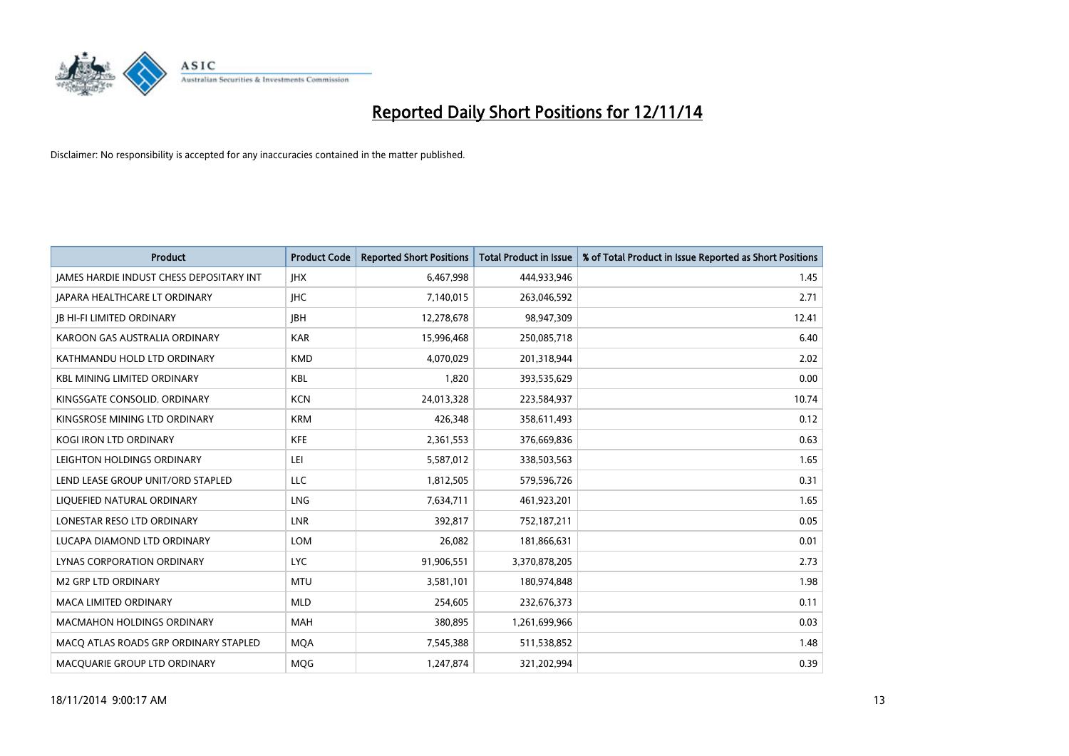

| <b>Product</b>                                  | <b>Product Code</b> | <b>Reported Short Positions</b> | <b>Total Product in Issue</b> | % of Total Product in Issue Reported as Short Positions |
|-------------------------------------------------|---------------------|---------------------------------|-------------------------------|---------------------------------------------------------|
| <b>JAMES HARDIE INDUST CHESS DEPOSITARY INT</b> | <b>IHX</b>          | 6,467,998                       | 444,933,946                   | 1.45                                                    |
| JAPARA HEALTHCARE LT ORDINARY                   | <b>IHC</b>          | 7,140,015                       | 263,046,592                   | 2.71                                                    |
| <b>IB HI-FI LIMITED ORDINARY</b>                | <b>IBH</b>          | 12,278,678                      | 98,947,309                    | 12.41                                                   |
| KAROON GAS AUSTRALIA ORDINARY                   | <b>KAR</b>          | 15,996,468                      | 250,085,718                   | 6.40                                                    |
| KATHMANDU HOLD LTD ORDINARY                     | <b>KMD</b>          | 4,070,029                       | 201,318,944                   | 2.02                                                    |
| <b>KBL MINING LIMITED ORDINARY</b>              | KBL                 | 1,820                           | 393,535,629                   | 0.00                                                    |
| KINGSGATE CONSOLID. ORDINARY                    | <b>KCN</b>          | 24,013,328                      | 223,584,937                   | 10.74                                                   |
| KINGSROSE MINING LTD ORDINARY                   | <b>KRM</b>          | 426,348                         | 358,611,493                   | 0.12                                                    |
| KOGI IRON LTD ORDINARY                          | <b>KFE</b>          | 2,361,553                       | 376,669,836                   | 0.63                                                    |
| LEIGHTON HOLDINGS ORDINARY                      | LEI                 | 5,587,012                       | 338,503,563                   | 1.65                                                    |
| LEND LEASE GROUP UNIT/ORD STAPLED               | <b>LLC</b>          | 1,812,505                       | 579,596,726                   | 0.31                                                    |
| LIQUEFIED NATURAL ORDINARY                      | LNG                 | 7,634,711                       | 461,923,201                   | 1.65                                                    |
| LONESTAR RESO LTD ORDINARY                      | <b>LNR</b>          | 392,817                         | 752,187,211                   | 0.05                                                    |
| LUCAPA DIAMOND LTD ORDINARY                     | <b>LOM</b>          | 26,082                          | 181,866,631                   | 0.01                                                    |
| LYNAS CORPORATION ORDINARY                      | <b>LYC</b>          | 91,906,551                      | 3,370,878,205                 | 2.73                                                    |
| <b>M2 GRP LTD ORDINARY</b>                      | <b>MTU</b>          | 3,581,101                       | 180,974,848                   | 1.98                                                    |
| <b>MACA LIMITED ORDINARY</b>                    | <b>MLD</b>          | 254,605                         | 232,676,373                   | 0.11                                                    |
| <b>MACMAHON HOLDINGS ORDINARY</b>               | <b>MAH</b>          | 380,895                         | 1,261,699,966                 | 0.03                                                    |
| MACO ATLAS ROADS GRP ORDINARY STAPLED           | <b>MOA</b>          | 7,545,388                       | 511,538,852                   | 1.48                                                    |
| MACQUARIE GROUP LTD ORDINARY                    | MQG                 | 1,247,874                       | 321,202,994                   | 0.39                                                    |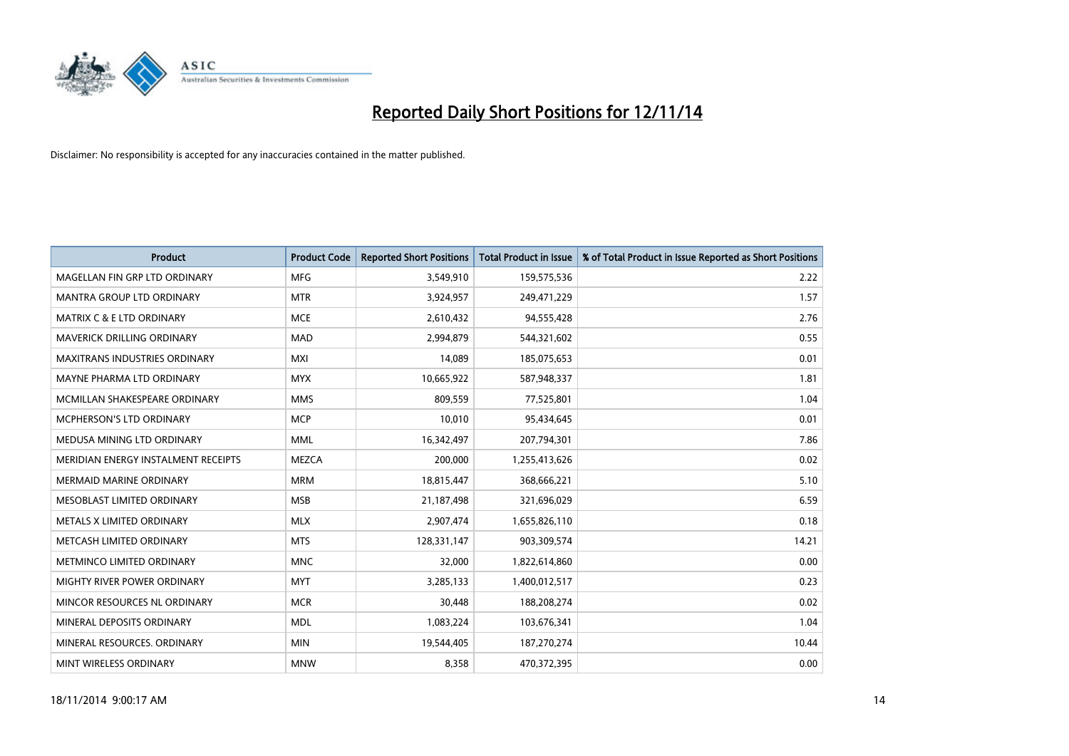

| <b>Product</b>                       | <b>Product Code</b> | <b>Reported Short Positions</b> | <b>Total Product in Issue</b> | % of Total Product in Issue Reported as Short Positions |
|--------------------------------------|---------------------|---------------------------------|-------------------------------|---------------------------------------------------------|
| MAGELLAN FIN GRP LTD ORDINARY        | <b>MFG</b>          | 3,549,910                       | 159,575,536                   | 2.22                                                    |
| <b>MANTRA GROUP LTD ORDINARY</b>     | <b>MTR</b>          | 3,924,957                       | 249,471,229                   | 1.57                                                    |
| <b>MATRIX C &amp; E LTD ORDINARY</b> | <b>MCE</b>          | 2,610,432                       | 94,555,428                    | 2.76                                                    |
| <b>MAVERICK DRILLING ORDINARY</b>    | <b>MAD</b>          | 2,994,879                       | 544,321,602                   | 0.55                                                    |
| <b>MAXITRANS INDUSTRIES ORDINARY</b> | <b>MXI</b>          | 14,089                          | 185,075,653                   | 0.01                                                    |
| MAYNE PHARMA LTD ORDINARY            | <b>MYX</b>          | 10,665,922                      | 587,948,337                   | 1.81                                                    |
| MCMILLAN SHAKESPEARE ORDINARY        | <b>MMS</b>          | 809,559                         | 77,525,801                    | 1.04                                                    |
| <b>MCPHERSON'S LTD ORDINARY</b>      | <b>MCP</b>          | 10,010                          | 95,434,645                    | 0.01                                                    |
| MEDUSA MINING LTD ORDINARY           | <b>MML</b>          | 16,342,497                      | 207,794,301                   | 7.86                                                    |
| MERIDIAN ENERGY INSTALMENT RECEIPTS  | <b>MEZCA</b>        | 200,000                         | 1,255,413,626                 | 0.02                                                    |
| <b>MERMAID MARINE ORDINARY</b>       | <b>MRM</b>          | 18,815,447                      | 368,666,221                   | 5.10                                                    |
| MESOBLAST LIMITED ORDINARY           | <b>MSB</b>          | 21,187,498                      | 321,696,029                   | 6.59                                                    |
| METALS X LIMITED ORDINARY            | <b>MLX</b>          | 2,907,474                       | 1,655,826,110                 | 0.18                                                    |
| METCASH LIMITED ORDINARY             | <b>MTS</b>          | 128,331,147                     | 903,309,574                   | 14.21                                                   |
| METMINCO LIMITED ORDINARY            | <b>MNC</b>          | 32,000                          | 1,822,614,860                 | 0.00                                                    |
| MIGHTY RIVER POWER ORDINARY          | <b>MYT</b>          | 3,285,133                       | 1,400,012,517                 | 0.23                                                    |
| MINCOR RESOURCES NL ORDINARY         | <b>MCR</b>          | 30,448                          | 188,208,274                   | 0.02                                                    |
| MINERAL DEPOSITS ORDINARY            | <b>MDL</b>          | 1,083,224                       | 103,676,341                   | 1.04                                                    |
| MINERAL RESOURCES, ORDINARY          | <b>MIN</b>          | 19,544,405                      | 187,270,274                   | 10.44                                                   |
| MINT WIRELESS ORDINARY               | <b>MNW</b>          | 8,358                           | 470,372,395                   | 0.00                                                    |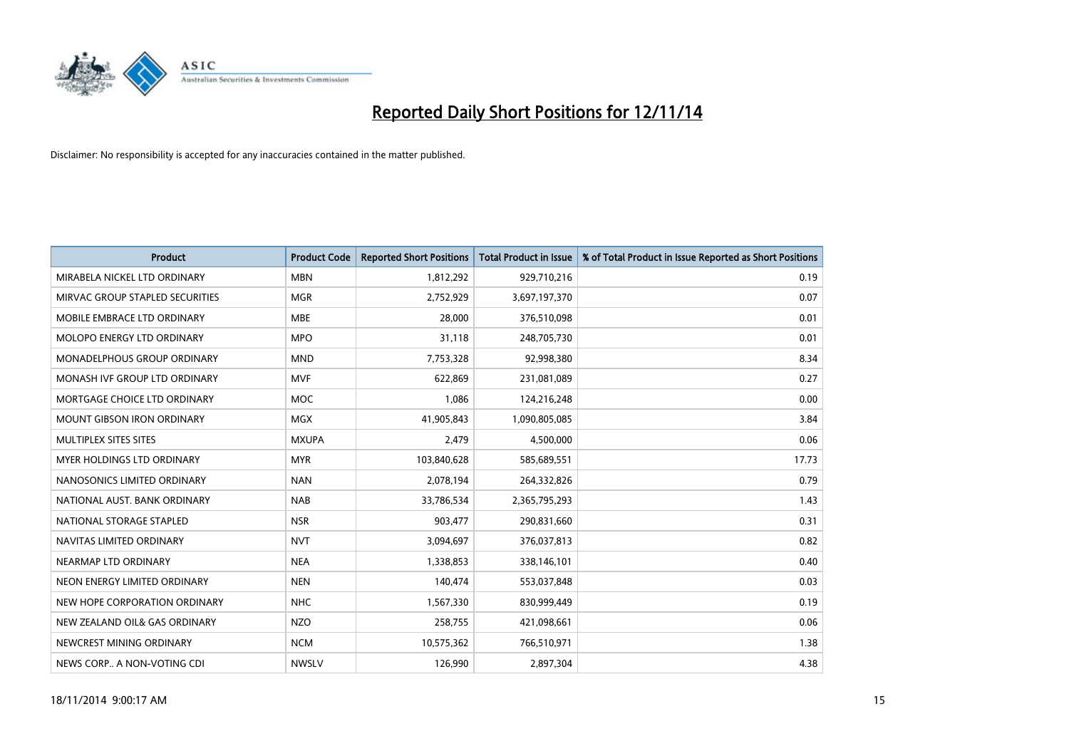

| <b>Product</b>                  | <b>Product Code</b> | <b>Reported Short Positions</b> | <b>Total Product in Issue</b> | % of Total Product in Issue Reported as Short Positions |
|---------------------------------|---------------------|---------------------------------|-------------------------------|---------------------------------------------------------|
| MIRABELA NICKEL LTD ORDINARY    | <b>MBN</b>          | 1,812,292                       | 929,710,216                   | 0.19                                                    |
| MIRVAC GROUP STAPLED SECURITIES | <b>MGR</b>          | 2,752,929                       | 3,697,197,370                 | 0.07                                                    |
| MOBILE EMBRACE LTD ORDINARY     | <b>MBE</b>          | 28,000                          | 376,510,098                   | 0.01                                                    |
| MOLOPO ENERGY LTD ORDINARY      | <b>MPO</b>          | 31,118                          | 248,705,730                   | 0.01                                                    |
| MONADELPHOUS GROUP ORDINARY     | <b>MND</b>          | 7,753,328                       | 92,998,380                    | 8.34                                                    |
| MONASH IVF GROUP LTD ORDINARY   | <b>MVF</b>          | 622,869                         | 231,081,089                   | 0.27                                                    |
| MORTGAGE CHOICE LTD ORDINARY    | MOC                 | 1,086                           | 124,216,248                   | 0.00                                                    |
| MOUNT GIBSON IRON ORDINARY      | <b>MGX</b>          | 41,905,843                      | 1,090,805,085                 | 3.84                                                    |
| MULTIPLEX SITES SITES           | <b>MXUPA</b>        | 2,479                           | 4,500,000                     | 0.06                                                    |
| MYER HOLDINGS LTD ORDINARY      | <b>MYR</b>          | 103,840,628                     | 585,689,551                   | 17.73                                                   |
| NANOSONICS LIMITED ORDINARY     | <b>NAN</b>          | 2,078,194                       | 264,332,826                   | 0.79                                                    |
| NATIONAL AUST. BANK ORDINARY    | <b>NAB</b>          | 33,786,534                      | 2,365,795,293                 | 1.43                                                    |
| NATIONAL STORAGE STAPLED        | <b>NSR</b>          | 903,477                         | 290,831,660                   | 0.31                                                    |
| NAVITAS LIMITED ORDINARY        | <b>NVT</b>          | 3,094,697                       | 376,037,813                   | 0.82                                                    |
| NEARMAP LTD ORDINARY            | <b>NEA</b>          | 1,338,853                       | 338,146,101                   | 0.40                                                    |
| NEON ENERGY LIMITED ORDINARY    | <b>NEN</b>          | 140,474                         | 553,037,848                   | 0.03                                                    |
| NEW HOPE CORPORATION ORDINARY   | <b>NHC</b>          | 1,567,330                       | 830,999,449                   | 0.19                                                    |
| NEW ZEALAND OIL& GAS ORDINARY   | <b>NZO</b>          | 258,755                         | 421,098,661                   | 0.06                                                    |
| NEWCREST MINING ORDINARY        | <b>NCM</b>          | 10,575,362                      | 766,510,971                   | 1.38                                                    |
| NEWS CORP A NON-VOTING CDI      | <b>NWSLV</b>        | 126,990                         | 2,897,304                     | 4.38                                                    |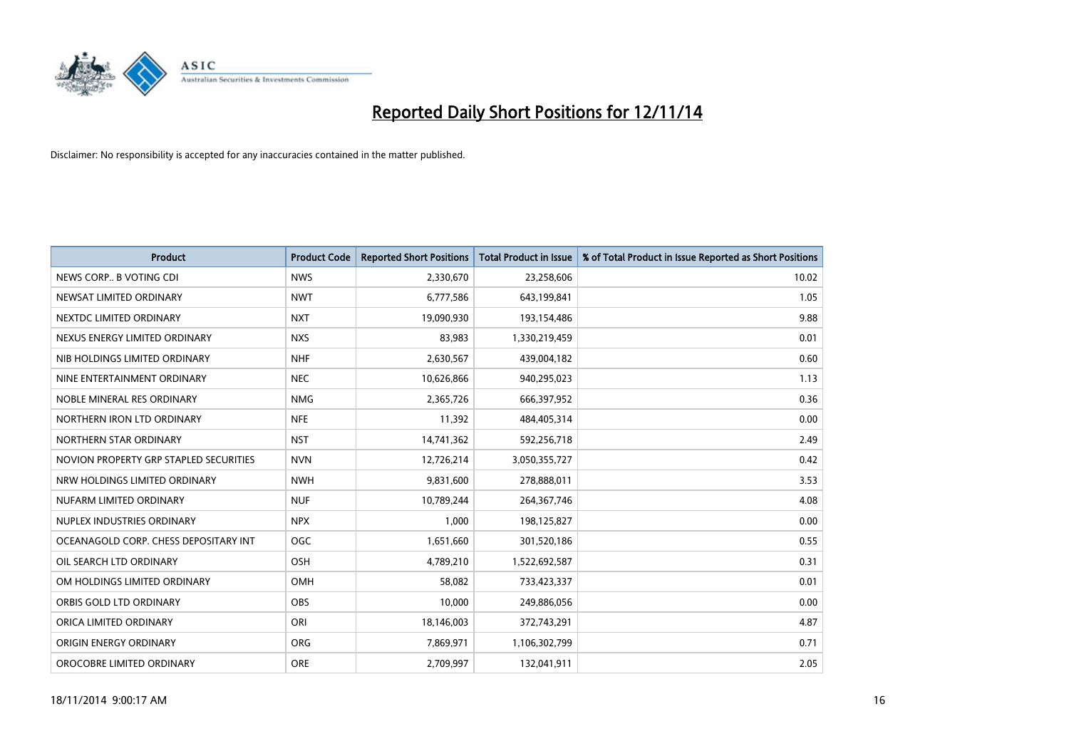

| <b>Product</b>                         | <b>Product Code</b> | <b>Reported Short Positions</b> | <b>Total Product in Issue</b> | % of Total Product in Issue Reported as Short Positions |
|----------------------------------------|---------------------|---------------------------------|-------------------------------|---------------------------------------------------------|
| NEWS CORP B VOTING CDI                 | <b>NWS</b>          | 2,330,670                       | 23,258,606                    | 10.02                                                   |
| NEWSAT LIMITED ORDINARY                | <b>NWT</b>          | 6,777,586                       | 643,199,841                   | 1.05                                                    |
| NEXTDC LIMITED ORDINARY                | <b>NXT</b>          | 19,090,930                      | 193,154,486                   | 9.88                                                    |
| NEXUS ENERGY LIMITED ORDINARY          | <b>NXS</b>          | 83,983                          | 1,330,219,459                 | 0.01                                                    |
| NIB HOLDINGS LIMITED ORDINARY          | <b>NHF</b>          | 2,630,567                       | 439,004,182                   | 0.60                                                    |
| NINE ENTERTAINMENT ORDINARY            | <b>NEC</b>          | 10,626,866                      | 940,295,023                   | 1.13                                                    |
| NOBLE MINERAL RES ORDINARY             | <b>NMG</b>          | 2,365,726                       | 666,397,952                   | 0.36                                                    |
| NORTHERN IRON LTD ORDINARY             | <b>NFE</b>          | 11,392                          | 484,405,314                   | 0.00                                                    |
| NORTHERN STAR ORDINARY                 | <b>NST</b>          | 14,741,362                      | 592,256,718                   | 2.49                                                    |
| NOVION PROPERTY GRP STAPLED SECURITIES | <b>NVN</b>          | 12,726,214                      | 3,050,355,727                 | 0.42                                                    |
| NRW HOLDINGS LIMITED ORDINARY          | <b>NWH</b>          | 9,831,600                       | 278,888,011                   | 3.53                                                    |
| NUFARM LIMITED ORDINARY                | <b>NUF</b>          | 10,789,244                      | 264, 367, 746                 | 4.08                                                    |
| NUPLEX INDUSTRIES ORDINARY             | <b>NPX</b>          | 1,000                           | 198,125,827                   | 0.00                                                    |
| OCEANAGOLD CORP. CHESS DEPOSITARY INT  | <b>OGC</b>          | 1,651,660                       | 301,520,186                   | 0.55                                                    |
| OIL SEARCH LTD ORDINARY                | OSH                 | 4,789,210                       | 1,522,692,587                 | 0.31                                                    |
| OM HOLDINGS LIMITED ORDINARY           | OMH                 | 58,082                          | 733,423,337                   | 0.01                                                    |
| ORBIS GOLD LTD ORDINARY                | OBS                 | 10,000                          | 249,886,056                   | 0.00                                                    |
| ORICA LIMITED ORDINARY                 | ORI                 | 18,146,003                      | 372,743,291                   | 4.87                                                    |
| ORIGIN ENERGY ORDINARY                 | <b>ORG</b>          | 7,869,971                       | 1,106,302,799                 | 0.71                                                    |
| OROCOBRE LIMITED ORDINARY              | <b>ORE</b>          | 2,709,997                       | 132,041,911                   | 2.05                                                    |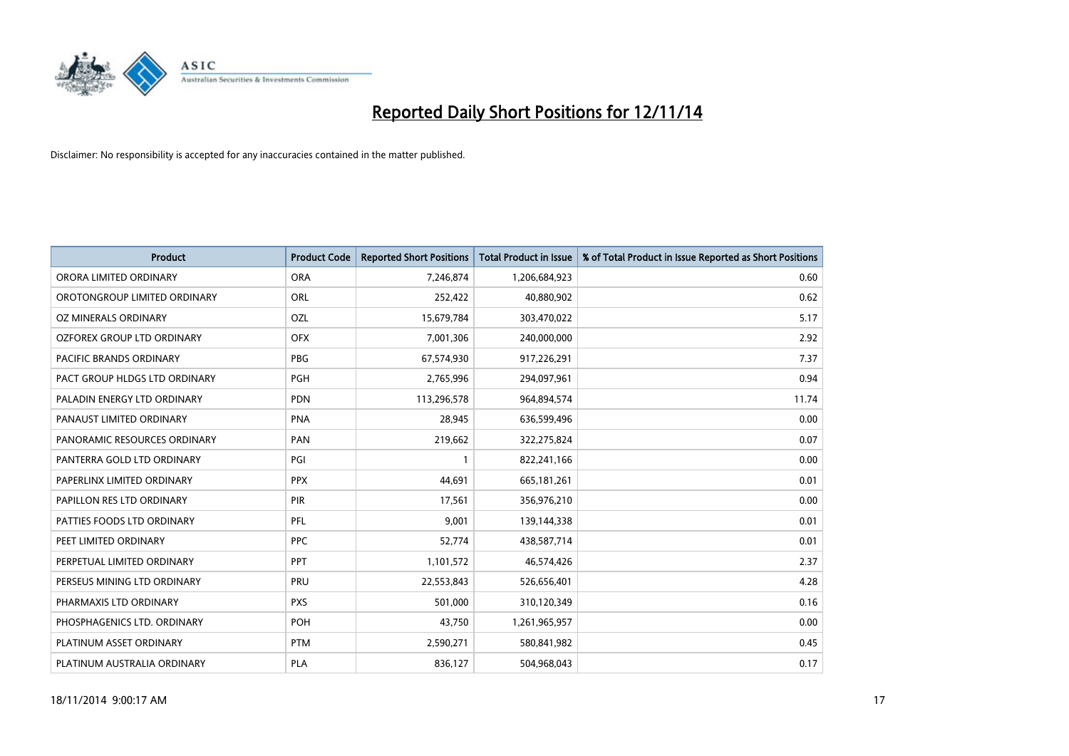

| <b>Product</b>                 | <b>Product Code</b> | <b>Reported Short Positions</b> | <b>Total Product in Issue</b> | % of Total Product in Issue Reported as Short Positions |
|--------------------------------|---------------------|---------------------------------|-------------------------------|---------------------------------------------------------|
| ORORA LIMITED ORDINARY         | <b>ORA</b>          | 7,246,874                       | 1,206,684,923                 | 0.60                                                    |
| OROTONGROUP LIMITED ORDINARY   | ORL                 | 252,422                         | 40,880,902                    | 0.62                                                    |
| OZ MINERALS ORDINARY           | <b>OZL</b>          | 15,679,784                      | 303,470,022                   | 5.17                                                    |
| OZFOREX GROUP LTD ORDINARY     | <b>OFX</b>          | 7,001,306                       | 240,000,000                   | 2.92                                                    |
| <b>PACIFIC BRANDS ORDINARY</b> | <b>PBG</b>          | 67,574,930                      | 917,226,291                   | 7.37                                                    |
| PACT GROUP HLDGS LTD ORDINARY  | <b>PGH</b>          | 2,765,996                       | 294,097,961                   | 0.94                                                    |
| PALADIN ENERGY LTD ORDINARY    | <b>PDN</b>          | 113,296,578                     | 964,894,574                   | 11.74                                                   |
| PANAUST LIMITED ORDINARY       | <b>PNA</b>          | 28,945                          | 636,599,496                   | 0.00                                                    |
| PANORAMIC RESOURCES ORDINARY   | PAN                 | 219,662                         | 322,275,824                   | 0.07                                                    |
| PANTERRA GOLD LTD ORDINARY     | PGI                 | $\mathbf{1}$                    | 822,241,166                   | 0.00                                                    |
| PAPERLINX LIMITED ORDINARY     | <b>PPX</b>          | 44,691                          | 665,181,261                   | 0.01                                                    |
| PAPILLON RES LTD ORDINARY      | <b>PIR</b>          | 17,561                          | 356,976,210                   | 0.00                                                    |
| PATTIES FOODS LTD ORDINARY     | PFL                 | 9,001                           | 139,144,338                   | 0.01                                                    |
| PEET LIMITED ORDINARY          | <b>PPC</b>          | 52,774                          | 438,587,714                   | 0.01                                                    |
| PERPETUAL LIMITED ORDINARY     | <b>PPT</b>          | 1,101,572                       | 46,574,426                    | 2.37                                                    |
| PERSEUS MINING LTD ORDINARY    | PRU                 | 22,553,843                      | 526,656,401                   | 4.28                                                    |
| PHARMAXIS LTD ORDINARY         | <b>PXS</b>          | 501,000                         | 310,120,349                   | 0.16                                                    |
| PHOSPHAGENICS LTD. ORDINARY    | POH                 | 43,750                          | 1,261,965,957                 | 0.00                                                    |
| PLATINUM ASSET ORDINARY        | <b>PTM</b>          | 2,590,271                       | 580,841,982                   | 0.45                                                    |
| PLATINUM AUSTRALIA ORDINARY    | PLA                 | 836,127                         | 504,968,043                   | 0.17                                                    |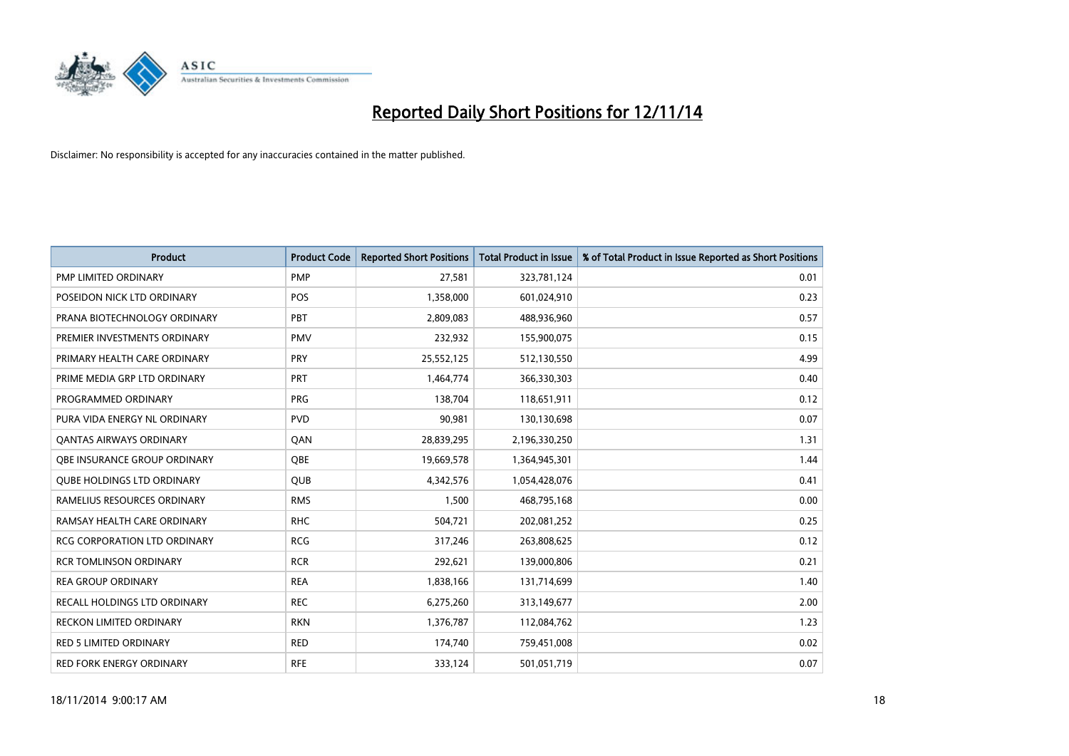

| <b>Product</b>                      | <b>Product Code</b> | <b>Reported Short Positions</b> | <b>Total Product in Issue</b> | % of Total Product in Issue Reported as Short Positions |
|-------------------------------------|---------------------|---------------------------------|-------------------------------|---------------------------------------------------------|
| <b>PMP LIMITED ORDINARY</b>         | <b>PMP</b>          | 27,581                          | 323,781,124                   | 0.01                                                    |
| POSEIDON NICK LTD ORDINARY          | <b>POS</b>          | 1,358,000                       | 601,024,910                   | 0.23                                                    |
| PRANA BIOTECHNOLOGY ORDINARY        | PBT                 | 2,809,083                       | 488,936,960                   | 0.57                                                    |
| PREMIER INVESTMENTS ORDINARY        | <b>PMV</b>          | 232,932                         | 155,900,075                   | 0.15                                                    |
| PRIMARY HEALTH CARE ORDINARY        | <b>PRY</b>          | 25,552,125                      | 512,130,550                   | 4.99                                                    |
| PRIME MEDIA GRP LTD ORDINARY        | PRT                 | 1,464,774                       | 366,330,303                   | 0.40                                                    |
| PROGRAMMED ORDINARY                 | <b>PRG</b>          | 138,704                         | 118,651,911                   | 0.12                                                    |
| PURA VIDA ENERGY NL ORDINARY        | <b>PVD</b>          | 90,981                          | 130,130,698                   | 0.07                                                    |
| <b>QANTAS AIRWAYS ORDINARY</b>      | QAN                 | 28,839,295                      | 2,196,330,250                 | 1.31                                                    |
| OBE INSURANCE GROUP ORDINARY        | <b>OBE</b>          | 19,669,578                      | 1,364,945,301                 | 1.44                                                    |
| <b>QUBE HOLDINGS LTD ORDINARY</b>   | <b>QUB</b>          | 4,342,576                       | 1,054,428,076                 | 0.41                                                    |
| RAMELIUS RESOURCES ORDINARY         | <b>RMS</b>          | 1,500                           | 468,795,168                   | 0.00                                                    |
| RAMSAY HEALTH CARE ORDINARY         | <b>RHC</b>          | 504,721                         | 202,081,252                   | 0.25                                                    |
| <b>RCG CORPORATION LTD ORDINARY</b> | <b>RCG</b>          | 317,246                         | 263,808,625                   | 0.12                                                    |
| <b>RCR TOMLINSON ORDINARY</b>       | <b>RCR</b>          | 292,621                         | 139,000,806                   | 0.21                                                    |
| <b>REA GROUP ORDINARY</b>           | <b>REA</b>          | 1,838,166                       | 131,714,699                   | 1.40                                                    |
| RECALL HOLDINGS LTD ORDINARY        | <b>REC</b>          | 6,275,260                       | 313,149,677                   | 2.00                                                    |
| RECKON LIMITED ORDINARY             | <b>RKN</b>          | 1,376,787                       | 112,084,762                   | 1.23                                                    |
| <b>RED 5 LIMITED ORDINARY</b>       | <b>RED</b>          | 174,740                         | 759,451,008                   | 0.02                                                    |
| RED FORK ENERGY ORDINARY            | <b>RFE</b>          | 333,124                         | 501,051,719                   | 0.07                                                    |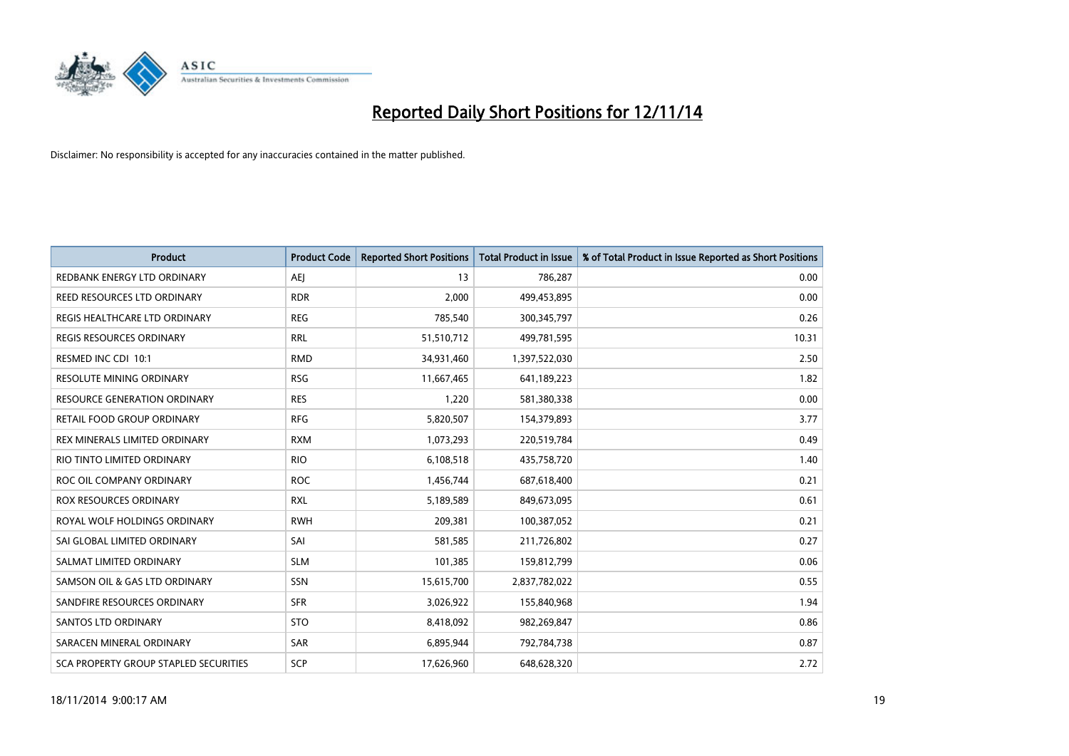

| <b>Product</b>                               | <b>Product Code</b> | <b>Reported Short Positions</b> | <b>Total Product in Issue</b> | % of Total Product in Issue Reported as Short Positions |
|----------------------------------------------|---------------------|---------------------------------|-------------------------------|---------------------------------------------------------|
| REDBANK ENERGY LTD ORDINARY                  | <b>AEJ</b>          | 13                              | 786,287                       | 0.00                                                    |
| REED RESOURCES LTD ORDINARY                  | <b>RDR</b>          | 2,000                           | 499,453,895                   | 0.00                                                    |
| REGIS HEALTHCARE LTD ORDINARY                | <b>REG</b>          | 785,540                         | 300,345,797                   | 0.26                                                    |
| REGIS RESOURCES ORDINARY                     | <b>RRL</b>          | 51,510,712                      | 499,781,595                   | 10.31                                                   |
| RESMED INC CDI 10:1                          | <b>RMD</b>          | 34,931,460                      | 1,397,522,030                 | 2.50                                                    |
| RESOLUTE MINING ORDINARY                     | <b>RSG</b>          | 11,667,465                      | 641,189,223                   | 1.82                                                    |
| <b>RESOURCE GENERATION ORDINARY</b>          | <b>RES</b>          | 1,220                           | 581,380,338                   | 0.00                                                    |
| RETAIL FOOD GROUP ORDINARY                   | <b>RFG</b>          | 5,820,507                       | 154,379,893                   | 3.77                                                    |
| REX MINERALS LIMITED ORDINARY                | <b>RXM</b>          | 1,073,293                       | 220,519,784                   | 0.49                                                    |
| RIO TINTO LIMITED ORDINARY                   | <b>RIO</b>          | 6,108,518                       | 435,758,720                   | 1.40                                                    |
| ROC OIL COMPANY ORDINARY                     | <b>ROC</b>          | 1,456,744                       | 687,618,400                   | 0.21                                                    |
| <b>ROX RESOURCES ORDINARY</b>                | RXL                 | 5,189,589                       | 849,673,095                   | 0.61                                                    |
| ROYAL WOLF HOLDINGS ORDINARY                 | <b>RWH</b>          | 209,381                         | 100,387,052                   | 0.21                                                    |
| SAI GLOBAL LIMITED ORDINARY                  | SAI                 | 581,585                         | 211,726,802                   | 0.27                                                    |
| SALMAT LIMITED ORDINARY                      | <b>SLM</b>          | 101,385                         | 159,812,799                   | 0.06                                                    |
| SAMSON OIL & GAS LTD ORDINARY                | SSN                 | 15,615,700                      | 2,837,782,022                 | 0.55                                                    |
| SANDFIRE RESOURCES ORDINARY                  | <b>SFR</b>          | 3,026,922                       | 155,840,968                   | 1.94                                                    |
| SANTOS LTD ORDINARY                          | <b>STO</b>          | 8,418,092                       | 982,269,847                   | 0.86                                                    |
| SARACEN MINERAL ORDINARY                     | SAR                 | 6,895,944                       | 792,784,738                   | 0.87                                                    |
| <b>SCA PROPERTY GROUP STAPLED SECURITIES</b> | SCP                 | 17,626,960                      | 648,628,320                   | 2.72                                                    |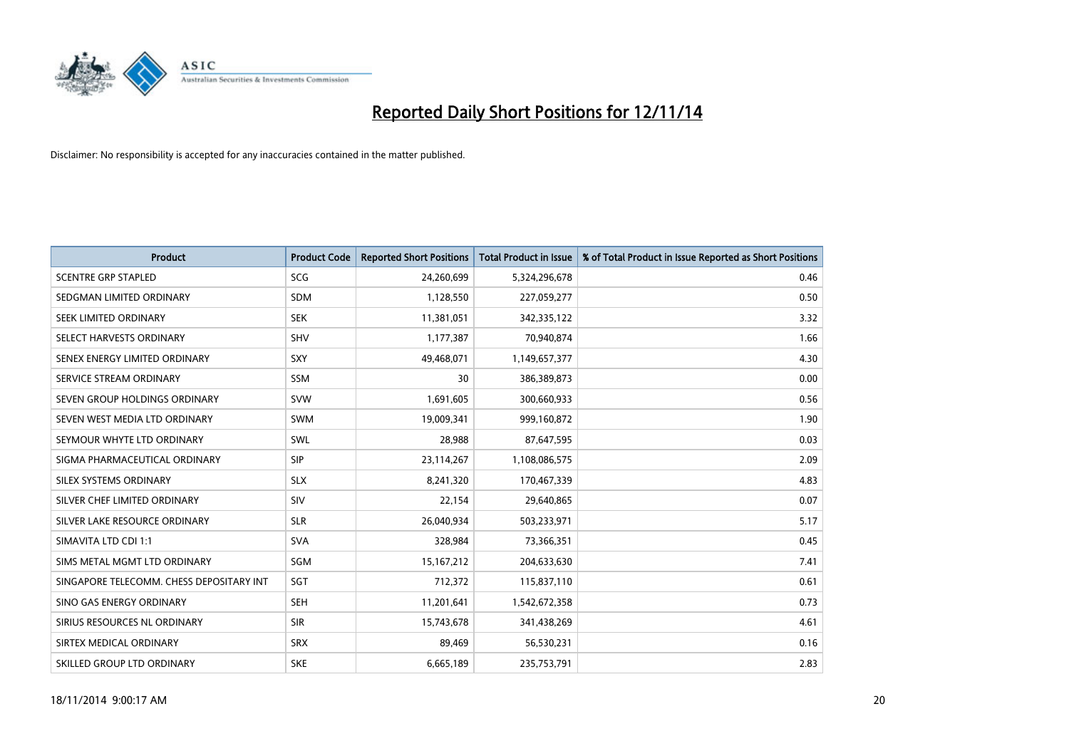

| <b>Product</b>                           | <b>Product Code</b> | <b>Reported Short Positions</b> | <b>Total Product in Issue</b> | % of Total Product in Issue Reported as Short Positions |
|------------------------------------------|---------------------|---------------------------------|-------------------------------|---------------------------------------------------------|
| <b>SCENTRE GRP STAPLED</b>               | SCG                 | 24,260,699                      | 5,324,296,678                 | 0.46                                                    |
| SEDGMAN LIMITED ORDINARY                 | <b>SDM</b>          | 1,128,550                       | 227,059,277                   | 0.50                                                    |
| SEEK LIMITED ORDINARY                    | <b>SEK</b>          | 11,381,051                      | 342,335,122                   | 3.32                                                    |
| SELECT HARVESTS ORDINARY                 | SHV                 | 1,177,387                       | 70,940,874                    | 1.66                                                    |
| SENEX ENERGY LIMITED ORDINARY            | SXY                 | 49,468,071                      | 1,149,657,377                 | 4.30                                                    |
| SERVICE STREAM ORDINARY                  | <b>SSM</b>          | 30                              | 386,389,873                   | 0.00                                                    |
| SEVEN GROUP HOLDINGS ORDINARY            | <b>SVW</b>          | 1,691,605                       | 300,660,933                   | 0.56                                                    |
| SEVEN WEST MEDIA LTD ORDINARY            | <b>SWM</b>          | 19,009,341                      | 999,160,872                   | 1.90                                                    |
| SEYMOUR WHYTE LTD ORDINARY               | <b>SWL</b>          | 28,988                          | 87,647,595                    | 0.03                                                    |
| SIGMA PHARMACEUTICAL ORDINARY            | <b>SIP</b>          | 23,114,267                      | 1,108,086,575                 | 2.09                                                    |
| SILEX SYSTEMS ORDINARY                   | <b>SLX</b>          | 8,241,320                       | 170,467,339                   | 4.83                                                    |
| SILVER CHEF LIMITED ORDINARY             | SIV                 | 22,154                          | 29,640,865                    | 0.07                                                    |
| SILVER LAKE RESOURCE ORDINARY            | <b>SLR</b>          | 26,040,934                      | 503,233,971                   | 5.17                                                    |
| SIMAVITA LTD CDI 1:1                     | <b>SVA</b>          | 328,984                         | 73,366,351                    | 0.45                                                    |
| SIMS METAL MGMT LTD ORDINARY             | SGM                 | 15, 167, 212                    | 204,633,630                   | 7.41                                                    |
| SINGAPORE TELECOMM. CHESS DEPOSITARY INT | SGT                 | 712,372                         | 115,837,110                   | 0.61                                                    |
| SINO GAS ENERGY ORDINARY                 | <b>SEH</b>          | 11,201,641                      | 1,542,672,358                 | 0.73                                                    |
| SIRIUS RESOURCES NL ORDINARY             | <b>SIR</b>          | 15,743,678                      | 341,438,269                   | 4.61                                                    |
| SIRTEX MEDICAL ORDINARY                  | <b>SRX</b>          | 89,469                          | 56,530,231                    | 0.16                                                    |
| SKILLED GROUP LTD ORDINARY               | <b>SKE</b>          | 6,665,189                       | 235,753,791                   | 2.83                                                    |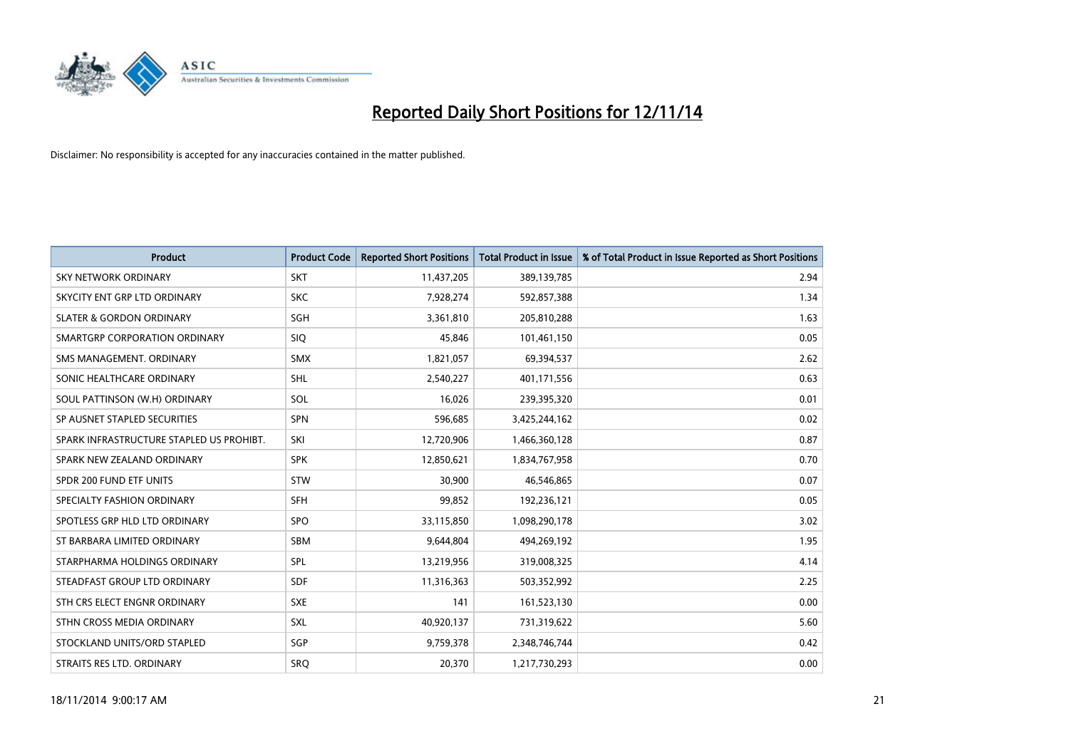

| <b>Product</b>                           | <b>Product Code</b> | <b>Reported Short Positions</b> | <b>Total Product in Issue</b> | % of Total Product in Issue Reported as Short Positions |
|------------------------------------------|---------------------|---------------------------------|-------------------------------|---------------------------------------------------------|
| <b>SKY NETWORK ORDINARY</b>              | <b>SKT</b>          | 11,437,205                      | 389,139,785                   | 2.94                                                    |
| SKYCITY ENT GRP LTD ORDINARY             | <b>SKC</b>          | 7,928,274                       | 592,857,388                   | 1.34                                                    |
| <b>SLATER &amp; GORDON ORDINARY</b>      | SGH                 | 3,361,810                       | 205,810,288                   | 1.63                                                    |
| SMARTGRP CORPORATION ORDINARY            | <b>SIQ</b>          | 45,846                          | 101,461,150                   | 0.05                                                    |
| SMS MANAGEMENT, ORDINARY                 | <b>SMX</b>          | 1,821,057                       | 69,394,537                    | 2.62                                                    |
| SONIC HEALTHCARE ORDINARY                | <b>SHL</b>          | 2,540,227                       | 401,171,556                   | 0.63                                                    |
| SOUL PATTINSON (W.H) ORDINARY            | SOL                 | 16,026                          | 239,395,320                   | 0.01                                                    |
| SP AUSNET STAPLED SECURITIES             | SPN                 | 596,685                         | 3,425,244,162                 | 0.02                                                    |
| SPARK INFRASTRUCTURE STAPLED US PROHIBT. | SKI                 | 12,720,906                      | 1,466,360,128                 | 0.87                                                    |
| SPARK NEW ZEALAND ORDINARY               | <b>SPK</b>          | 12,850,621                      | 1,834,767,958                 | 0.70                                                    |
| SPDR 200 FUND ETF UNITS                  | <b>STW</b>          | 30,900                          | 46,546,865                    | 0.07                                                    |
| SPECIALTY FASHION ORDINARY               | <b>SFH</b>          | 99,852                          | 192,236,121                   | 0.05                                                    |
| SPOTLESS GRP HLD LTD ORDINARY            | <b>SPO</b>          | 33,115,850                      | 1,098,290,178                 | 3.02                                                    |
| ST BARBARA LIMITED ORDINARY              | SBM                 | 9,644,804                       | 494,269,192                   | 1.95                                                    |
| STARPHARMA HOLDINGS ORDINARY             | SPL                 | 13,219,956                      | 319,008,325                   | 4.14                                                    |
| STEADFAST GROUP LTD ORDINARY             | SDF                 | 11,316,363                      | 503,352,992                   | 2.25                                                    |
| STH CRS ELECT ENGNR ORDINARY             | <b>SXE</b>          | 141                             | 161,523,130                   | 0.00                                                    |
| STHN CROSS MEDIA ORDINARY                | <b>SXL</b>          | 40,920,137                      | 731,319,622                   | 5.60                                                    |
| STOCKLAND UNITS/ORD STAPLED              | SGP                 | 9,759,378                       | 2,348,746,744                 | 0.42                                                    |
| STRAITS RES LTD. ORDINARY                | SRO                 | 20,370                          | 1,217,730,293                 | 0.00                                                    |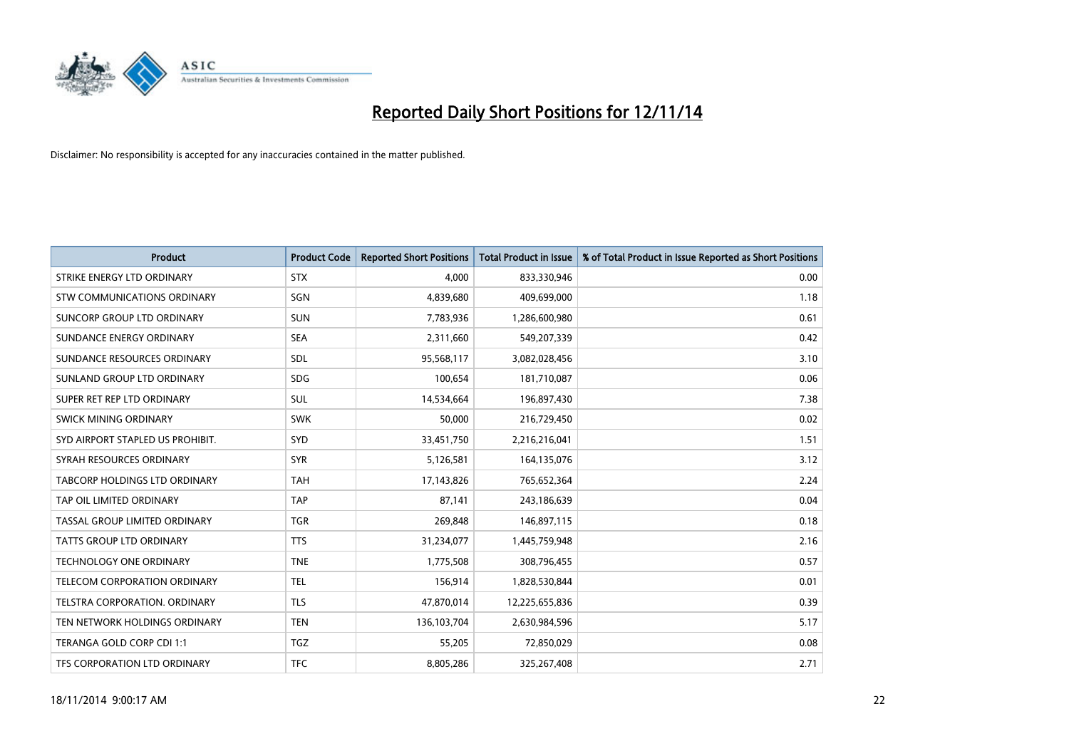

| <b>Product</b>                   | <b>Product Code</b> | <b>Reported Short Positions</b> | <b>Total Product in Issue</b> | % of Total Product in Issue Reported as Short Positions |
|----------------------------------|---------------------|---------------------------------|-------------------------------|---------------------------------------------------------|
| STRIKE ENERGY LTD ORDINARY       | <b>STX</b>          | 4,000                           | 833,330,946                   | 0.00                                                    |
| STW COMMUNICATIONS ORDINARY      | SGN                 | 4,839,680                       | 409,699,000                   | 1.18                                                    |
| SUNCORP GROUP LTD ORDINARY       | <b>SUN</b>          | 7,783,936                       | 1,286,600,980                 | 0.61                                                    |
| SUNDANCE ENERGY ORDINARY         | <b>SEA</b>          | 2,311,660                       | 549,207,339                   | 0.42                                                    |
| SUNDANCE RESOURCES ORDINARY      | SDL                 | 95,568,117                      | 3,082,028,456                 | 3.10                                                    |
| SUNLAND GROUP LTD ORDINARY       | <b>SDG</b>          | 100,654                         | 181,710,087                   | 0.06                                                    |
| SUPER RET REP LTD ORDINARY       | <b>SUL</b>          | 14,534,664                      | 196,897,430                   | 7.38                                                    |
| <b>SWICK MINING ORDINARY</b>     | <b>SWK</b>          | 50,000                          | 216,729,450                   | 0.02                                                    |
| SYD AIRPORT STAPLED US PROHIBIT. | SYD                 | 33,451,750                      | 2,216,216,041                 | 1.51                                                    |
| SYRAH RESOURCES ORDINARY         | <b>SYR</b>          | 5,126,581                       | 164,135,076                   | 3.12                                                    |
| TABCORP HOLDINGS LTD ORDINARY    | <b>TAH</b>          | 17,143,826                      | 765,652,364                   | 2.24                                                    |
| TAP OIL LIMITED ORDINARY         | <b>TAP</b>          | 87,141                          | 243,186,639                   | 0.04                                                    |
| TASSAL GROUP LIMITED ORDINARY    | <b>TGR</b>          | 269.848                         | 146,897,115                   | 0.18                                                    |
| <b>TATTS GROUP LTD ORDINARY</b>  | <b>TTS</b>          | 31,234,077                      | 1,445,759,948                 | 2.16                                                    |
| <b>TECHNOLOGY ONE ORDINARY</b>   | <b>TNE</b>          | 1,775,508                       | 308,796,455                   | 0.57                                                    |
| TELECOM CORPORATION ORDINARY     | <b>TEL</b>          | 156,914                         | 1,828,530,844                 | 0.01                                                    |
| TELSTRA CORPORATION, ORDINARY    | <b>TLS</b>          | 47,870,014                      | 12,225,655,836                | 0.39                                                    |
| TEN NETWORK HOLDINGS ORDINARY    | <b>TEN</b>          | 136,103,704                     | 2,630,984,596                 | 5.17                                                    |
| TERANGA GOLD CORP CDI 1:1        | <b>TGZ</b>          | 55,205                          | 72,850,029                    | 0.08                                                    |
| TFS CORPORATION LTD ORDINARY     | <b>TFC</b>          | 8,805,286                       | 325,267,408                   | 2.71                                                    |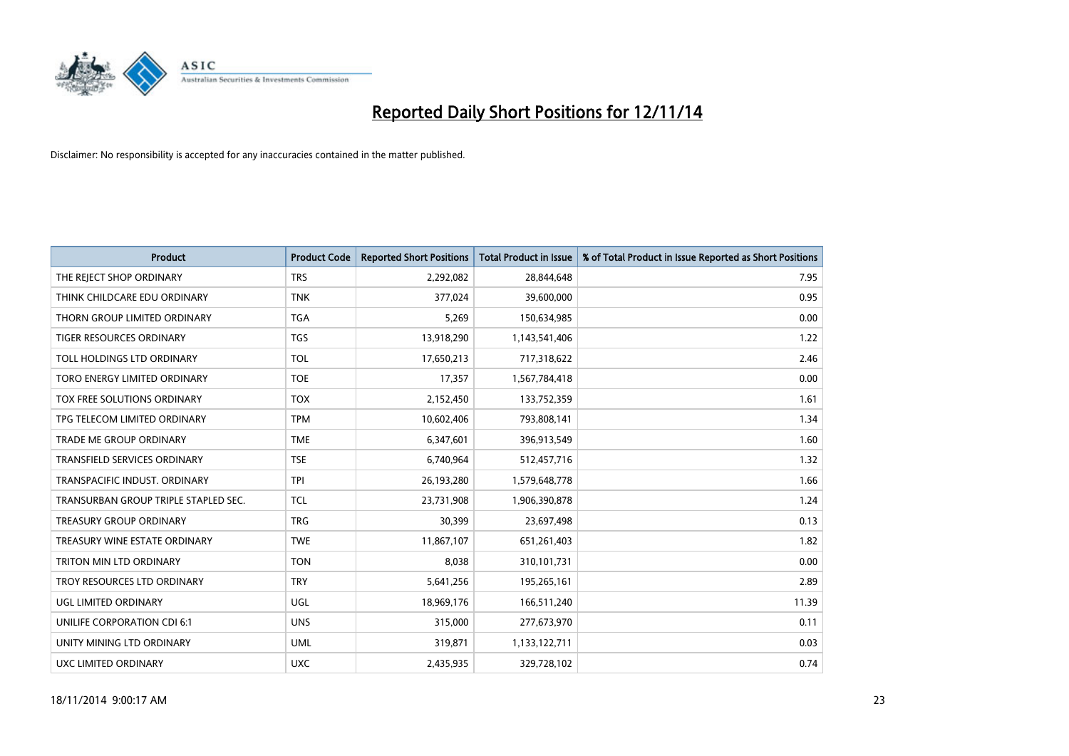

| <b>Product</b>                       | <b>Product Code</b> | <b>Reported Short Positions</b> | <b>Total Product in Issue</b> | % of Total Product in Issue Reported as Short Positions |
|--------------------------------------|---------------------|---------------------------------|-------------------------------|---------------------------------------------------------|
| THE REJECT SHOP ORDINARY             | <b>TRS</b>          | 2,292,082                       | 28,844,648                    | 7.95                                                    |
| THINK CHILDCARE EDU ORDINARY         | <b>TNK</b>          | 377,024                         | 39,600,000                    | 0.95                                                    |
| THORN GROUP LIMITED ORDINARY         | <b>TGA</b>          | 5,269                           | 150,634,985                   | 0.00                                                    |
| TIGER RESOURCES ORDINARY             | <b>TGS</b>          | 13,918,290                      | 1,143,541,406                 | 1.22                                                    |
| TOLL HOLDINGS LTD ORDINARY           | <b>TOL</b>          | 17,650,213                      | 717,318,622                   | 2.46                                                    |
| TORO ENERGY LIMITED ORDINARY         | <b>TOE</b>          | 17,357                          | 1,567,784,418                 | 0.00                                                    |
| TOX FREE SOLUTIONS ORDINARY          | <b>TOX</b>          | 2,152,450                       | 133,752,359                   | 1.61                                                    |
| TPG TELECOM LIMITED ORDINARY         | <b>TPM</b>          | 10,602,406                      | 793,808,141                   | 1.34                                                    |
| <b>TRADE ME GROUP ORDINARY</b>       | <b>TME</b>          | 6,347,601                       | 396,913,549                   | 1.60                                                    |
| <b>TRANSFIELD SERVICES ORDINARY</b>  | <b>TSE</b>          | 6,740,964                       | 512,457,716                   | 1.32                                                    |
| TRANSPACIFIC INDUST. ORDINARY        | <b>TPI</b>          | 26,193,280                      | 1,579,648,778                 | 1.66                                                    |
| TRANSURBAN GROUP TRIPLE STAPLED SEC. | TCL                 | 23,731,908                      | 1,906,390,878                 | 1.24                                                    |
| TREASURY GROUP ORDINARY              | <b>TRG</b>          | 30,399                          | 23,697,498                    | 0.13                                                    |
| TREASURY WINE ESTATE ORDINARY        | <b>TWE</b>          | 11,867,107                      | 651,261,403                   | 1.82                                                    |
| TRITON MIN LTD ORDINARY              | <b>TON</b>          | 8,038                           | 310,101,731                   | 0.00                                                    |
| TROY RESOURCES LTD ORDINARY          | <b>TRY</b>          | 5,641,256                       | 195,265,161                   | 2.89                                                    |
| UGL LIMITED ORDINARY                 | UGL                 | 18,969,176                      | 166,511,240                   | 11.39                                                   |
| UNILIFE CORPORATION CDI 6:1          | <b>UNS</b>          | 315,000                         | 277,673,970                   | 0.11                                                    |
| UNITY MINING LTD ORDINARY            | <b>UML</b>          | 319,871                         | 1,133,122,711                 | 0.03                                                    |
| UXC LIMITED ORDINARY                 | <b>UXC</b>          | 2,435,935                       | 329,728,102                   | 0.74                                                    |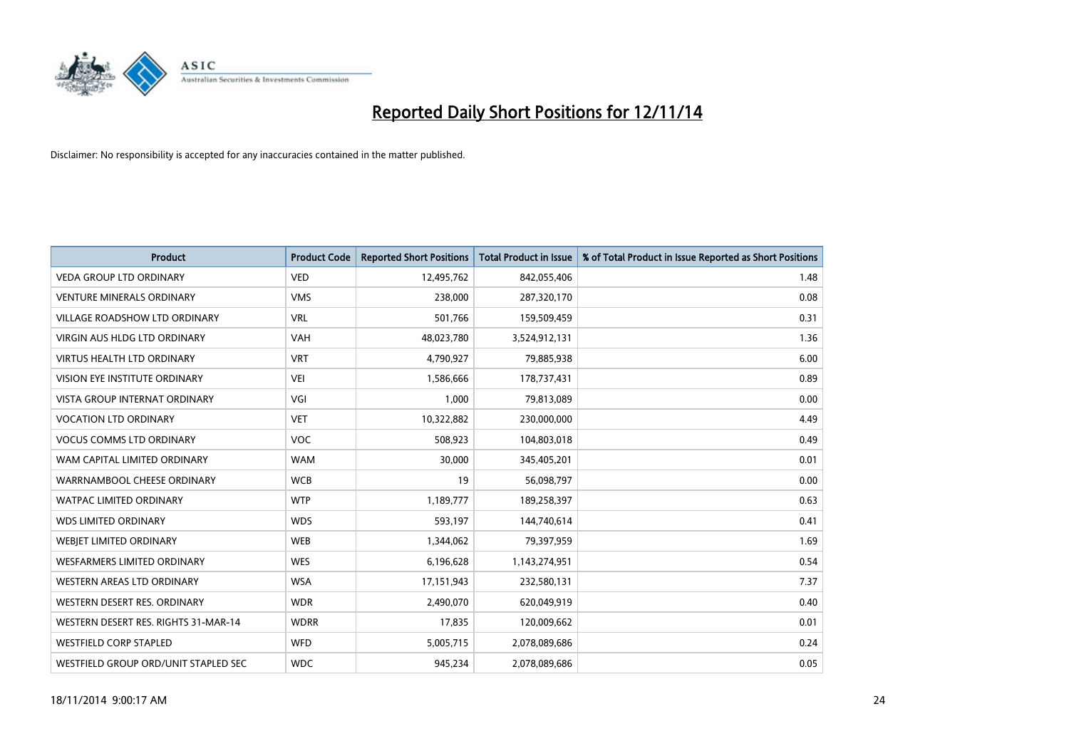

| <b>Product</b>                       | <b>Product Code</b> | <b>Reported Short Positions</b> | <b>Total Product in Issue</b> | % of Total Product in Issue Reported as Short Positions |
|--------------------------------------|---------------------|---------------------------------|-------------------------------|---------------------------------------------------------|
| <b>VEDA GROUP LTD ORDINARY</b>       | <b>VED</b>          | 12,495,762                      | 842,055,406                   | 1.48                                                    |
| <b>VENTURE MINERALS ORDINARY</b>     | <b>VMS</b>          | 238,000                         | 287,320,170                   | 0.08                                                    |
| <b>VILLAGE ROADSHOW LTD ORDINARY</b> | <b>VRL</b>          | 501,766                         | 159,509,459                   | 0.31                                                    |
| <b>VIRGIN AUS HLDG LTD ORDINARY</b>  | <b>VAH</b>          | 48,023,780                      | 3,524,912,131                 | 1.36                                                    |
| <b>VIRTUS HEALTH LTD ORDINARY</b>    | <b>VRT</b>          | 4,790,927                       | 79,885,938                    | 6.00                                                    |
| <b>VISION EYE INSTITUTE ORDINARY</b> | <b>VEI</b>          | 1,586,666                       | 178,737,431                   | 0.89                                                    |
| <b>VISTA GROUP INTERNAT ORDINARY</b> | VGI                 | 1,000                           | 79,813,089                    | 0.00                                                    |
| <b>VOCATION LTD ORDINARY</b>         | <b>VET</b>          | 10,322,882                      | 230,000,000                   | 4.49                                                    |
| <b>VOCUS COMMS LTD ORDINARY</b>      | VOC                 | 508,923                         | 104,803,018                   | 0.49                                                    |
| WAM CAPITAL LIMITED ORDINARY         | <b>WAM</b>          | 30,000                          | 345,405,201                   | 0.01                                                    |
| WARRNAMBOOL CHEESE ORDINARY          | <b>WCB</b>          | 19                              | 56,098,797                    | 0.00                                                    |
| <b>WATPAC LIMITED ORDINARY</b>       | <b>WTP</b>          | 1,189,777                       | 189,258,397                   | 0.63                                                    |
| <b>WDS LIMITED ORDINARY</b>          | <b>WDS</b>          | 593,197                         | 144,740,614                   | 0.41                                                    |
| <b>WEBIET LIMITED ORDINARY</b>       | <b>WEB</b>          | 1,344,062                       | 79,397,959                    | 1.69                                                    |
| <b>WESFARMERS LIMITED ORDINARY</b>   | <b>WES</b>          | 6,196,628                       | 1,143,274,951                 | 0.54                                                    |
| WESTERN AREAS LTD ORDINARY           | <b>WSA</b>          | 17,151,943                      | 232,580,131                   | 7.37                                                    |
| WESTERN DESERT RES. ORDINARY         | <b>WDR</b>          | 2,490,070                       | 620,049,919                   | 0.40                                                    |
| WESTERN DESERT RES. RIGHTS 31-MAR-14 | <b>WDRR</b>         | 17,835                          | 120,009,662                   | 0.01                                                    |
| <b>WESTFIELD CORP STAPLED</b>        | WFD                 | 5,005,715                       | 2,078,089,686                 | 0.24                                                    |
| WESTFIELD GROUP ORD/UNIT STAPLED SEC | <b>WDC</b>          | 945,234                         | 2,078,089,686                 | 0.05                                                    |